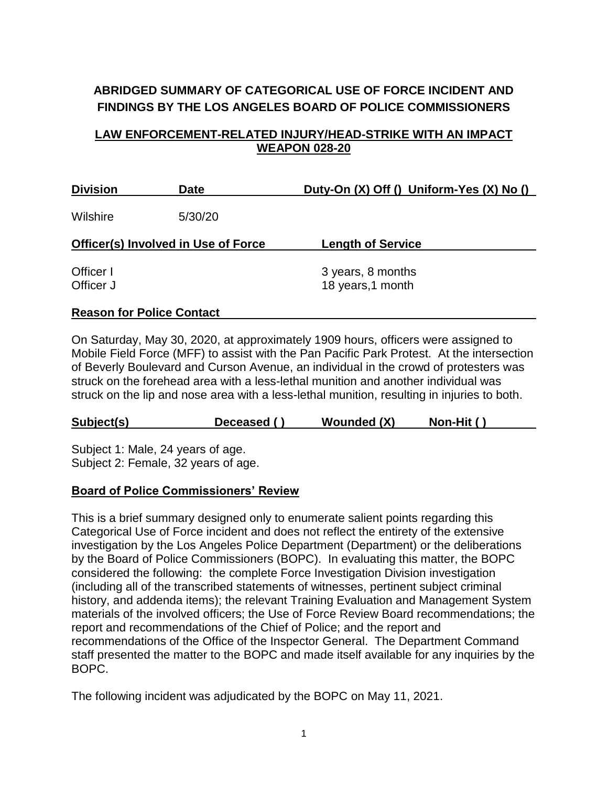# **ABRIDGED SUMMARY OF CATEGORICAL USE OF FORCE INCIDENT AND FINDINGS BY THE LOS ANGELES BOARD OF POLICE COMMISSIONERS**

## **LAW ENFORCEMENT-RELATED INJURY/HEAD-STRIKE WITH AN IMPACT WEAPON 028-20**

| <b>Division</b>                            | <b>Date</b> | Duty-On (X) Off () Uniform-Yes (X) No () |  |  |
|--------------------------------------------|-------------|------------------------------------------|--|--|
| Wilshire                                   | 5/30/20     |                                          |  |  |
| <b>Officer(s) Involved in Use of Force</b> |             | <b>Length of Service</b>                 |  |  |
| Officer I<br>Officer J                     |             | 3 years, 8 months<br>18 years, 1 month   |  |  |
| <b>Reason for Police Contact</b>           |             |                                          |  |  |

# On Saturday, May 30, 2020, at approximately 1909 hours, officers were assigned to Mobile Field Force (MFF) to assist with the Pan Pacific Park Protest. At the intersection of Beverly Boulevard and Curson Avenue, an individual in the crowd of protesters was struck on the forehead area with a less-lethal munition and another individual was

# **Subject(s) Deceased ( ) Wounded (X) Non-Hit ( )**

struck on the lip and nose area with a less-lethal munition, resulting in injuries to both.

Subject 1: Male, 24 years of age. Subject 2: Female, 32 years of age.

## **Board of Police Commissioners' Review**

This is a brief summary designed only to enumerate salient points regarding this Categorical Use of Force incident and does not reflect the entirety of the extensive investigation by the Los Angeles Police Department (Department) or the deliberations by the Board of Police Commissioners (BOPC). In evaluating this matter, the BOPC considered the following: the complete Force Investigation Division investigation (including all of the transcribed statements of witnesses, pertinent subject criminal history, and addenda items); the relevant Training Evaluation and Management System materials of the involved officers; the Use of Force Review Board recommendations; the report and recommendations of the Chief of Police; and the report and recommendations of the Office of the Inspector General. The Department Command staff presented the matter to the BOPC and made itself available for any inquiries by the BOPC.

The following incident was adjudicated by the BOPC on May 11, 2021.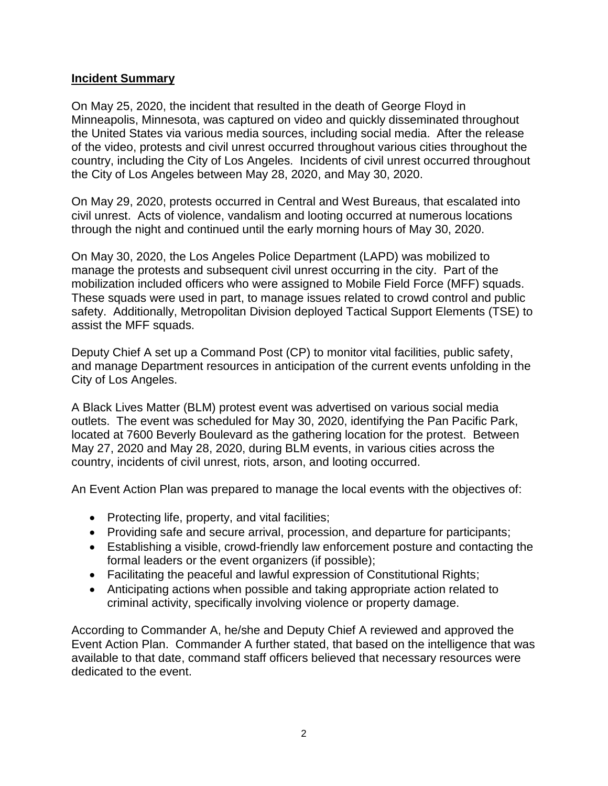## **Incident Summary**

On May 25, 2020, the incident that resulted in the death of George Floyd in Minneapolis, Minnesota, was captured on video and quickly disseminated throughout the United States via various media sources, including social media. After the release of the video, protests and civil unrest occurred throughout various cities throughout the country, including the City of Los Angeles. Incidents of civil unrest occurred throughout the City of Los Angeles between May 28, 2020, and May 30, 2020.

On May 29, 2020, protests occurred in Central and West Bureaus, that escalated into civil unrest. Acts of violence, vandalism and looting occurred at numerous locations through the night and continued until the early morning hours of May 30, 2020.

On May 30, 2020, the Los Angeles Police Department (LAPD) was mobilized to manage the protests and subsequent civil unrest occurring in the city. Part of the mobilization included officers who were assigned to Mobile Field Force (MFF) squads. These squads were used in part, to manage issues related to crowd control and public safety. Additionally, Metropolitan Division deployed Tactical Support Elements (TSE) to assist the MFF squads.

Deputy Chief A set up a Command Post (CP) to monitor vital facilities, public safety, and manage Department resources in anticipation of the current events unfolding in the City of Los Angeles.

A Black Lives Matter (BLM) protest event was advertised on various social media outlets. The event was scheduled for May 30, 2020, identifying the Pan Pacific Park, located at 7600 Beverly Boulevard as the gathering location for the protest. Between May 27, 2020 and May 28, 2020, during BLM events, in various cities across the country, incidents of civil unrest, riots, arson, and looting occurred.

An Event Action Plan was prepared to manage the local events with the objectives of:

- Protecting life, property, and vital facilities;
- Providing safe and secure arrival, procession, and departure for participants;
- Establishing a visible, crowd-friendly law enforcement posture and contacting the formal leaders or the event organizers (if possible);
- Facilitating the peaceful and lawful expression of Constitutional Rights;
- Anticipating actions when possible and taking appropriate action related to criminal activity, specifically involving violence or property damage.

According to Commander A, he/she and Deputy Chief A reviewed and approved the Event Action Plan. Commander A further stated, that based on the intelligence that was available to that date, command staff officers believed that necessary resources were dedicated to the event.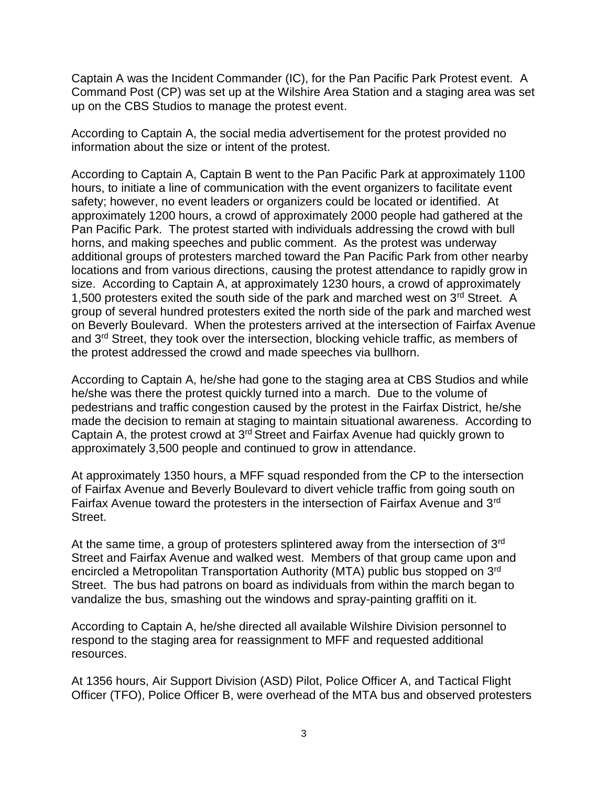Captain A was the Incident Commander (IC), for the Pan Pacific Park Protest event. A Command Post (CP) was set up at the Wilshire Area Station and a staging area was set up on the CBS Studios to manage the protest event.

According to Captain A, the social media advertisement for the protest provided no information about the size or intent of the protest.

According to Captain A, Captain B went to the Pan Pacific Park at approximately 1100 hours, to initiate a line of communication with the event organizers to facilitate event safety; however, no event leaders or organizers could be located or identified. At approximately 1200 hours, a crowd of approximately 2000 people had gathered at the Pan Pacific Park. The protest started with individuals addressing the crowd with bull horns, and making speeches and public comment. As the protest was underway additional groups of protesters marched toward the Pan Pacific Park from other nearby locations and from various directions, causing the protest attendance to rapidly grow in size. According to Captain A, at approximately 1230 hours, a crowd of approximately 1,500 protesters exited the south side of the park and marched west on  $3<sup>rd</sup>$  Street. A group of several hundred protesters exited the north side of the park and marched west on Beverly Boulevard. When the protesters arrived at the intersection of Fairfax Avenue and 3<sup>rd</sup> Street, they took over the intersection, blocking vehicle traffic, as members of the protest addressed the crowd and made speeches via bullhorn.

According to Captain A, he/she had gone to the staging area at CBS Studios and while he/she was there the protest quickly turned into a march. Due to the volume of pedestrians and traffic congestion caused by the protest in the Fairfax District, he/she made the decision to remain at staging to maintain situational awareness. According to Captain A, the protest crowd at 3rd Street and Fairfax Avenue had quickly grown to approximately 3,500 people and continued to grow in attendance.

At approximately 1350 hours, a MFF squad responded from the CP to the intersection of Fairfax Avenue and Beverly Boulevard to divert vehicle traffic from going south on Fairfax Avenue toward the protesters in the intersection of Fairfax Avenue and 3<sup>rd</sup> Street.

At the same time, a group of protesters splintered away from the intersection of 3<sup>rd</sup> Street and Fairfax Avenue and walked west. Members of that group came upon and encircled a Metropolitan Transportation Authority (MTA) public bus stopped on 3rd Street. The bus had patrons on board as individuals from within the march began to vandalize the bus, smashing out the windows and spray-painting graffiti on it.

According to Captain A, he/she directed all available Wilshire Division personnel to respond to the staging area for reassignment to MFF and requested additional resources.

At 1356 hours, Air Support Division (ASD) Pilot, Police Officer A, and Tactical Flight Officer (TFO), Police Officer B, were overhead of the MTA bus and observed protesters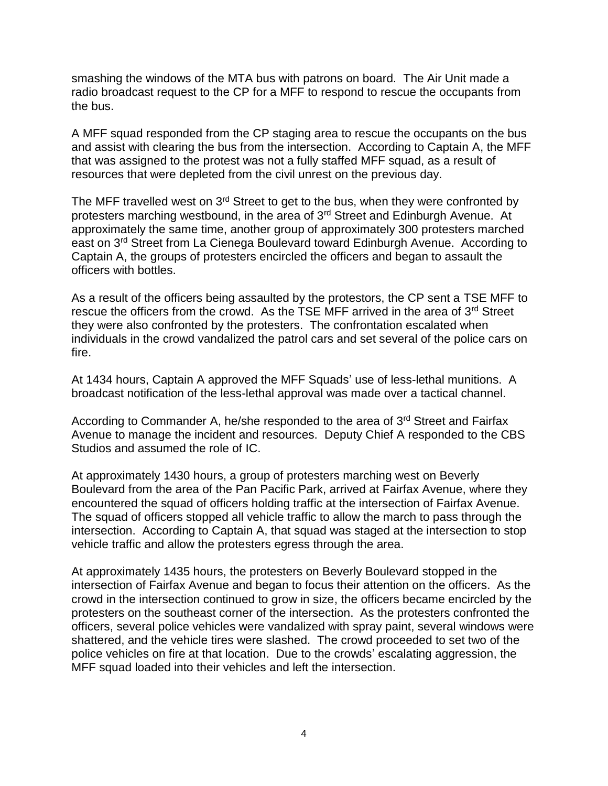smashing the windows of the MTA bus with patrons on board. The Air Unit made a radio broadcast request to the CP for a MFF to respond to rescue the occupants from the bus.

A MFF squad responded from the CP staging area to rescue the occupants on the bus and assist with clearing the bus from the intersection. According to Captain A, the MFF that was assigned to the protest was not a fully staffed MFF squad, as a result of resources that were depleted from the civil unrest on the previous day.

The MFF travelled west on 3<sup>rd</sup> Street to get to the bus, when they were confronted by protesters marching westbound, in the area of 3rd Street and Edinburgh Avenue. At approximately the same time, another group of approximately 300 protesters marched east on 3rd Street from La Cienega Boulevard toward Edinburgh Avenue. According to Captain A, the groups of protesters encircled the officers and began to assault the officers with bottles.

As a result of the officers being assaulted by the protestors, the CP sent a TSE MFF to rescue the officers from the crowd. As the TSE MFF arrived in the area of 3<sup>rd</sup> Street they were also confronted by the protesters. The confrontation escalated when individuals in the crowd vandalized the patrol cars and set several of the police cars on fire.

At 1434 hours, Captain A approved the MFF Squads' use of less-lethal munitions. A broadcast notification of the less-lethal approval was made over a tactical channel.

According to Commander A, he/she responded to the area of 3<sup>rd</sup> Street and Fairfax Avenue to manage the incident and resources. Deputy Chief A responded to the CBS Studios and assumed the role of IC.

At approximately 1430 hours, a group of protesters marching west on Beverly Boulevard from the area of the Pan Pacific Park, arrived at Fairfax Avenue, where they encountered the squad of officers holding traffic at the intersection of Fairfax Avenue. The squad of officers stopped all vehicle traffic to allow the march to pass through the intersection. According to Captain A, that squad was staged at the intersection to stop vehicle traffic and allow the protesters egress through the area.

At approximately 1435 hours, the protesters on Beverly Boulevard stopped in the intersection of Fairfax Avenue and began to focus their attention on the officers. As the crowd in the intersection continued to grow in size, the officers became encircled by the protesters on the southeast corner of the intersection. As the protesters confronted the officers, several police vehicles were vandalized with spray paint, several windows were shattered, and the vehicle tires were slashed. The crowd proceeded to set two of the police vehicles on fire at that location. Due to the crowds' escalating aggression, the MFF squad loaded into their vehicles and left the intersection.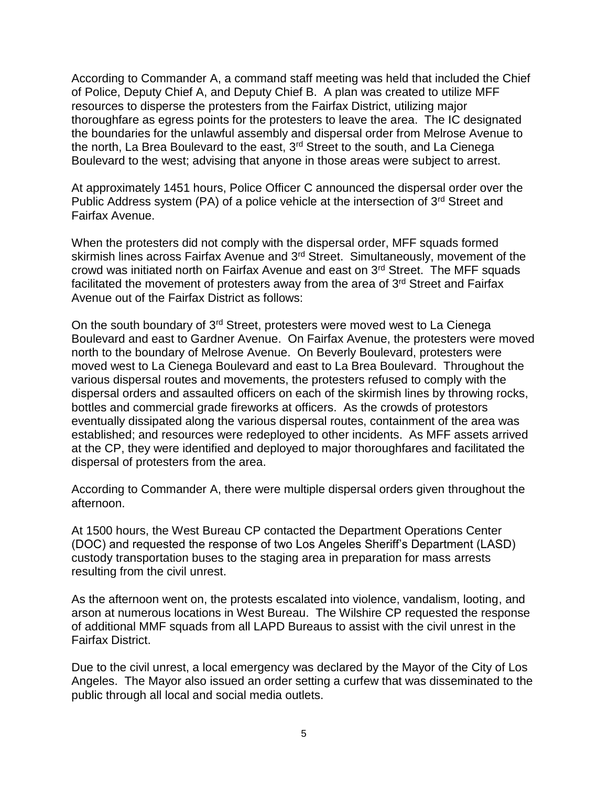According to Commander A, a command staff meeting was held that included the Chief of Police, Deputy Chief A, and Deputy Chief B. A plan was created to utilize MFF resources to disperse the protesters from the Fairfax District, utilizing major thoroughfare as egress points for the protesters to leave the area. The IC designated the boundaries for the unlawful assembly and dispersal order from Melrose Avenue to the north, La Brea Boulevard to the east, 3<sup>rd</sup> Street to the south, and La Cienega Boulevard to the west; advising that anyone in those areas were subject to arrest.

At approximately 1451 hours, Police Officer C announced the dispersal order over the Public Address system (PA) of a police vehicle at the intersection of  $3<sup>rd</sup>$  Street and Fairfax Avenue.

When the protesters did not comply with the dispersal order, MFF squads formed skirmish lines across Fairfax Avenue and 3<sup>rd</sup> Street. Simultaneously, movement of the crowd was initiated north on Fairfax Avenue and east on 3rd Street. The MFF squads facilitated the movement of protesters away from the area of 3rd Street and Fairfax Avenue out of the Fairfax District as follows:

On the south boundary of 3rd Street, protesters were moved west to La Cienega Boulevard and east to Gardner Avenue. On Fairfax Avenue, the protesters were moved north to the boundary of Melrose Avenue. On Beverly Boulevard, protesters were moved west to La Cienega Boulevard and east to La Brea Boulevard. Throughout the various dispersal routes and movements, the protesters refused to comply with the dispersal orders and assaulted officers on each of the skirmish lines by throwing rocks, bottles and commercial grade fireworks at officers. As the crowds of protestors eventually dissipated along the various dispersal routes, containment of the area was established; and resources were redeployed to other incidents. As MFF assets arrived at the CP, they were identified and deployed to major thoroughfares and facilitated the dispersal of protesters from the area.

According to Commander A, there were multiple dispersal orders given throughout the afternoon.

At 1500 hours, the West Bureau CP contacted the Department Operations Center (DOC) and requested the response of two Los Angeles Sheriff's Department (LASD) custody transportation buses to the staging area in preparation for mass arrests resulting from the civil unrest.

As the afternoon went on, the protests escalated into violence, vandalism, looting, and arson at numerous locations in West Bureau. The Wilshire CP requested the response of additional MMF squads from all LAPD Bureaus to assist with the civil unrest in the Fairfax District.

Due to the civil unrest, a local emergency was declared by the Mayor of the City of Los Angeles. The Mayor also issued an order setting a curfew that was disseminated to the public through all local and social media outlets.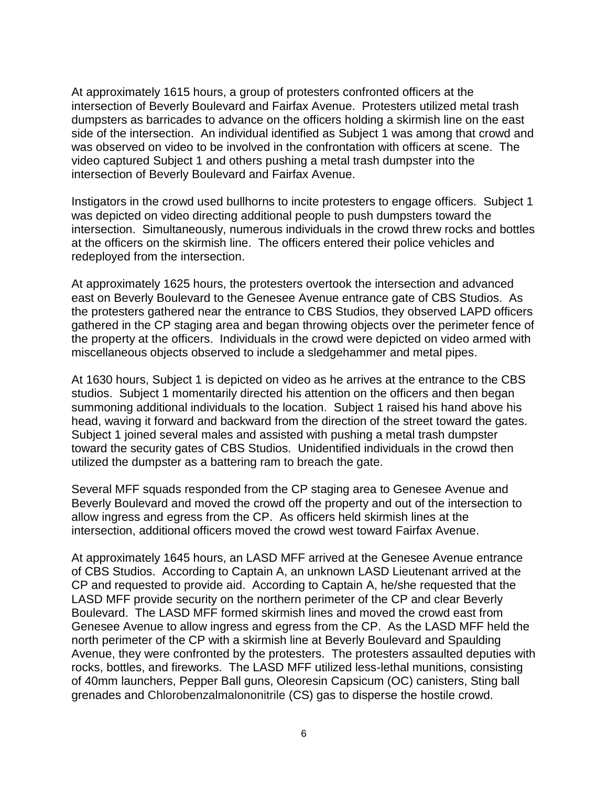At approximately 1615 hours, a group of protesters confronted officers at the intersection of Beverly Boulevard and Fairfax Avenue. Protesters utilized metal trash dumpsters as barricades to advance on the officers holding a skirmish line on the east side of the intersection. An individual identified as Subject 1 was among that crowd and was observed on video to be involved in the confrontation with officers at scene. The video captured Subject 1 and others pushing a metal trash dumpster into the intersection of Beverly Boulevard and Fairfax Avenue.

Instigators in the crowd used bullhorns to incite protesters to engage officers. Subject 1 was depicted on video directing additional people to push dumpsters toward the intersection. Simultaneously, numerous individuals in the crowd threw rocks and bottles at the officers on the skirmish line. The officers entered their police vehicles and redeployed from the intersection.

At approximately 1625 hours, the protesters overtook the intersection and advanced east on Beverly Boulevard to the Genesee Avenue entrance gate of CBS Studios. As the protesters gathered near the entrance to CBS Studios, they observed LAPD officers gathered in the CP staging area and began throwing objects over the perimeter fence of the property at the officers. Individuals in the crowd were depicted on video armed with miscellaneous objects observed to include a sledgehammer and metal pipes.

At 1630 hours, Subject 1 is depicted on video as he arrives at the entrance to the CBS studios. Subject 1 momentarily directed his attention on the officers and then began summoning additional individuals to the location. Subject 1 raised his hand above his head, waving it forward and backward from the direction of the street toward the gates. Subject 1 joined several males and assisted with pushing a metal trash dumpster toward the security gates of CBS Studios. Unidentified individuals in the crowd then utilized the dumpster as a battering ram to breach the gate.

Several MFF squads responded from the CP staging area to Genesee Avenue and Beverly Boulevard and moved the crowd off the property and out of the intersection to allow ingress and egress from the CP. As officers held skirmish lines at the intersection, additional officers moved the crowd west toward Fairfax Avenue.

At approximately 1645 hours, an LASD MFF arrived at the Genesee Avenue entrance of CBS Studios. According to Captain A, an unknown LASD Lieutenant arrived at the CP and requested to provide aid. According to Captain A, he/she requested that the LASD MFF provide security on the northern perimeter of the CP and clear Beverly Boulevard. The LASD MFF formed skirmish lines and moved the crowd east from Genesee Avenue to allow ingress and egress from the CP. As the LASD MFF held the north perimeter of the CP with a skirmish line at Beverly Boulevard and Spaulding Avenue, they were confronted by the protesters. The protesters assaulted deputies with rocks, bottles, and fireworks. The LASD MFF utilized less-lethal munitions, consisting of 40mm launchers, Pepper Ball guns, Oleoresin Capsicum (OC) canisters, Sting ball grenades and Chlorobenzalmalononitrile (CS) gas to disperse the hostile crowd.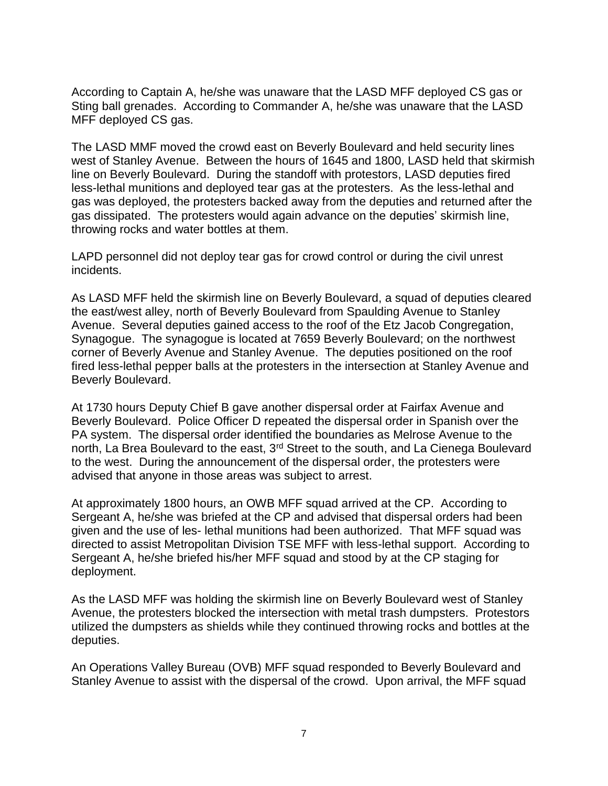According to Captain A, he/she was unaware that the LASD MFF deployed CS gas or Sting ball grenades. According to Commander A, he/she was unaware that the LASD MFF deployed CS gas.

The LASD MMF moved the crowd east on Beverly Boulevard and held security lines west of Stanley Avenue. Between the hours of 1645 and 1800, LASD held that skirmish line on Beverly Boulevard. During the standoff with protestors, LASD deputies fired less-lethal munitions and deployed tear gas at the protesters. As the less-lethal and gas was deployed, the protesters backed away from the deputies and returned after the gas dissipated. The protesters would again advance on the deputies' skirmish line, throwing rocks and water bottles at them.

LAPD personnel did not deploy tear gas for crowd control or during the civil unrest incidents.

As LASD MFF held the skirmish line on Beverly Boulevard, a squad of deputies cleared the east/west alley, north of Beverly Boulevard from Spaulding Avenue to Stanley Avenue. Several deputies gained access to the roof of the Etz Jacob Congregation, Synagogue. The synagogue is located at 7659 Beverly Boulevard; on the northwest corner of Beverly Avenue and Stanley Avenue. The deputies positioned on the roof fired less-lethal pepper balls at the protesters in the intersection at Stanley Avenue and Beverly Boulevard.

At 1730 hours Deputy Chief B gave another dispersal order at Fairfax Avenue and Beverly Boulevard. Police Officer D repeated the dispersal order in Spanish over the PA system. The dispersal order identified the boundaries as Melrose Avenue to the north, La Brea Boulevard to the east, 3<sup>rd</sup> Street to the south, and La Cienega Boulevard to the west. During the announcement of the dispersal order, the protesters were advised that anyone in those areas was subject to arrest.

At approximately 1800 hours, an OWB MFF squad arrived at the CP. According to Sergeant A, he/she was briefed at the CP and advised that dispersal orders had been given and the use of les- lethal munitions had been authorized. That MFF squad was directed to assist Metropolitan Division TSE MFF with less-lethal support. According to Sergeant A, he/she briefed his/her MFF squad and stood by at the CP staging for deployment.

As the LASD MFF was holding the skirmish line on Beverly Boulevard west of Stanley Avenue, the protesters blocked the intersection with metal trash dumpsters. Protestors utilized the dumpsters as shields while they continued throwing rocks and bottles at the deputies.

An Operations Valley Bureau (OVB) MFF squad responded to Beverly Boulevard and Stanley Avenue to assist with the dispersal of the crowd. Upon arrival, the MFF squad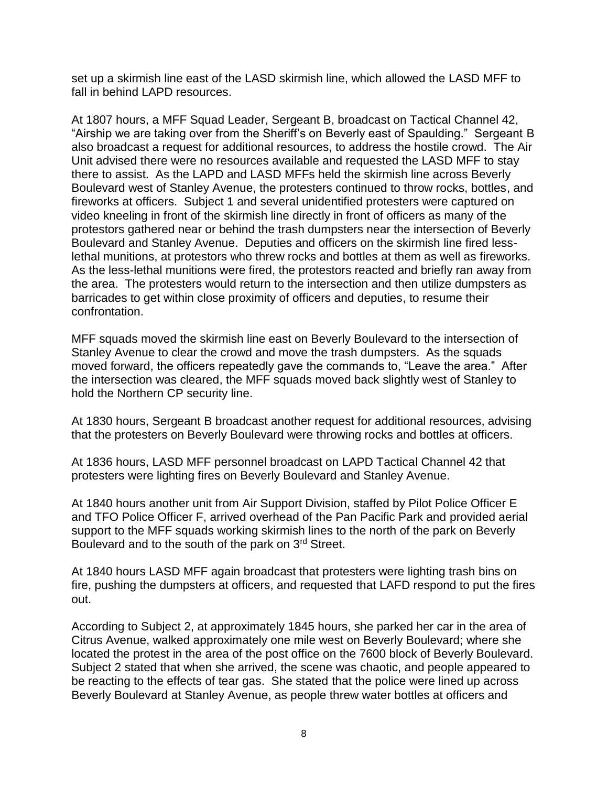set up a skirmish line east of the LASD skirmish line, which allowed the LASD MFF to fall in behind LAPD resources.

At 1807 hours, a MFF Squad Leader, Sergeant B, broadcast on Tactical Channel 42, "Airship we are taking over from the Sheriff's on Beverly east of Spaulding." Sergeant B also broadcast a request for additional resources, to address the hostile crowd. The Air Unit advised there were no resources available and requested the LASD MFF to stay there to assist. As the LAPD and LASD MFFs held the skirmish line across Beverly Boulevard west of Stanley Avenue, the protesters continued to throw rocks, bottles, and fireworks at officers. Subject 1 and several unidentified protesters were captured on video kneeling in front of the skirmish line directly in front of officers as many of the protestors gathered near or behind the trash dumpsters near the intersection of Beverly Boulevard and Stanley Avenue. Deputies and officers on the skirmish line fired lesslethal munitions, at protestors who threw rocks and bottles at them as well as fireworks. As the less-lethal munitions were fired, the protestors reacted and briefly ran away from the area. The protesters would return to the intersection and then utilize dumpsters as barricades to get within close proximity of officers and deputies, to resume their confrontation.

MFF squads moved the skirmish line east on Beverly Boulevard to the intersection of Stanley Avenue to clear the crowd and move the trash dumpsters. As the squads moved forward, the officers repeatedly gave the commands to, "Leave the area." After the intersection was cleared, the MFF squads moved back slightly west of Stanley to hold the Northern CP security line.

At 1830 hours, Sergeant B broadcast another request for additional resources, advising that the protesters on Beverly Boulevard were throwing rocks and bottles at officers.

At 1836 hours, LASD MFF personnel broadcast on LAPD Tactical Channel 42 that protesters were lighting fires on Beverly Boulevard and Stanley Avenue.

At 1840 hours another unit from Air Support Division, staffed by Pilot Police Officer E and TFO Police Officer F, arrived overhead of the Pan Pacific Park and provided aerial support to the MFF squads working skirmish lines to the north of the park on Beverly Boulevard and to the south of the park on 3rd Street.

At 1840 hours LASD MFF again broadcast that protesters were lighting trash bins on fire, pushing the dumpsters at officers, and requested that LAFD respond to put the fires out.

According to Subject 2, at approximately 1845 hours, she parked her car in the area of Citrus Avenue, walked approximately one mile west on Beverly Boulevard; where she located the protest in the area of the post office on the 7600 block of Beverly Boulevard. Subject 2 stated that when she arrived, the scene was chaotic, and people appeared to be reacting to the effects of tear gas. She stated that the police were lined up across Beverly Boulevard at Stanley Avenue, as people threw water bottles at officers and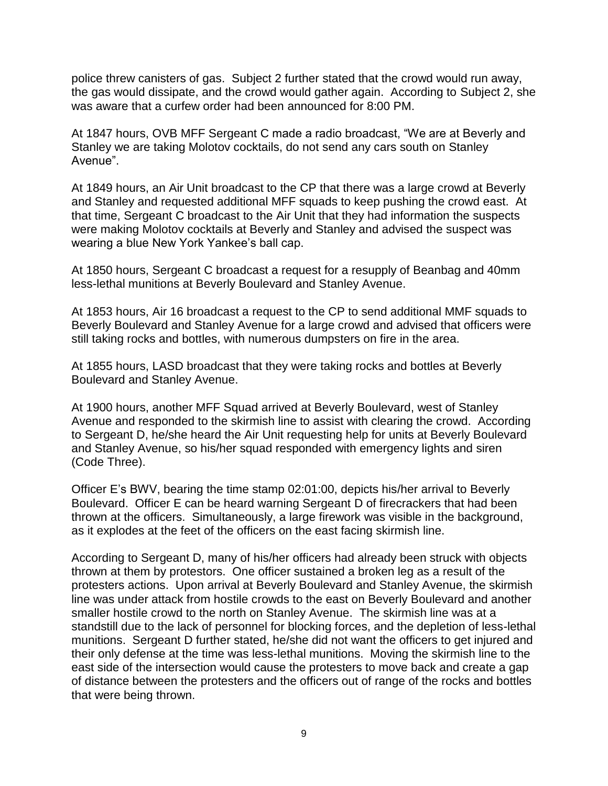police threw canisters of gas. Subject 2 further stated that the crowd would run away, the gas would dissipate, and the crowd would gather again. According to Subject 2, she was aware that a curfew order had been announced for 8:00 PM.

At 1847 hours, OVB MFF Sergeant C made a radio broadcast, "We are at Beverly and Stanley we are taking Molotov cocktails, do not send any cars south on Stanley Avenue".

At 1849 hours, an Air Unit broadcast to the CP that there was a large crowd at Beverly and Stanley and requested additional MFF squads to keep pushing the crowd east. At that time, Sergeant C broadcast to the Air Unit that they had information the suspects were making Molotov cocktails at Beverly and Stanley and advised the suspect was wearing a blue New York Yankee's ball cap.

At 1850 hours, Sergeant C broadcast a request for a resupply of Beanbag and 40mm less-lethal munitions at Beverly Boulevard and Stanley Avenue.

At 1853 hours, Air 16 broadcast a request to the CP to send additional MMF squads to Beverly Boulevard and Stanley Avenue for a large crowd and advised that officers were still taking rocks and bottles, with numerous dumpsters on fire in the area.

At 1855 hours, LASD broadcast that they were taking rocks and bottles at Beverly Boulevard and Stanley Avenue.

At 1900 hours, another MFF Squad arrived at Beverly Boulevard, west of Stanley Avenue and responded to the skirmish line to assist with clearing the crowd. According to Sergeant D, he/she heard the Air Unit requesting help for units at Beverly Boulevard and Stanley Avenue, so his/her squad responded with emergency lights and siren (Code Three).

Officer E's BWV, bearing the time stamp 02:01:00, depicts his/her arrival to Beverly Boulevard. Officer E can be heard warning Sergeant D of firecrackers that had been thrown at the officers. Simultaneously, a large firework was visible in the background, as it explodes at the feet of the officers on the east facing skirmish line.

According to Sergeant D, many of his/her officers had already been struck with objects thrown at them by protestors. One officer sustained a broken leg as a result of the protesters actions. Upon arrival at Beverly Boulevard and Stanley Avenue, the skirmish line was under attack from hostile crowds to the east on Beverly Boulevard and another smaller hostile crowd to the north on Stanley Avenue. The skirmish line was at a standstill due to the lack of personnel for blocking forces, and the depletion of less-lethal munitions. Sergeant D further stated, he/she did not want the officers to get injured and their only defense at the time was less-lethal munitions. Moving the skirmish line to the east side of the intersection would cause the protesters to move back and create a gap of distance between the protesters and the officers out of range of the rocks and bottles that were being thrown.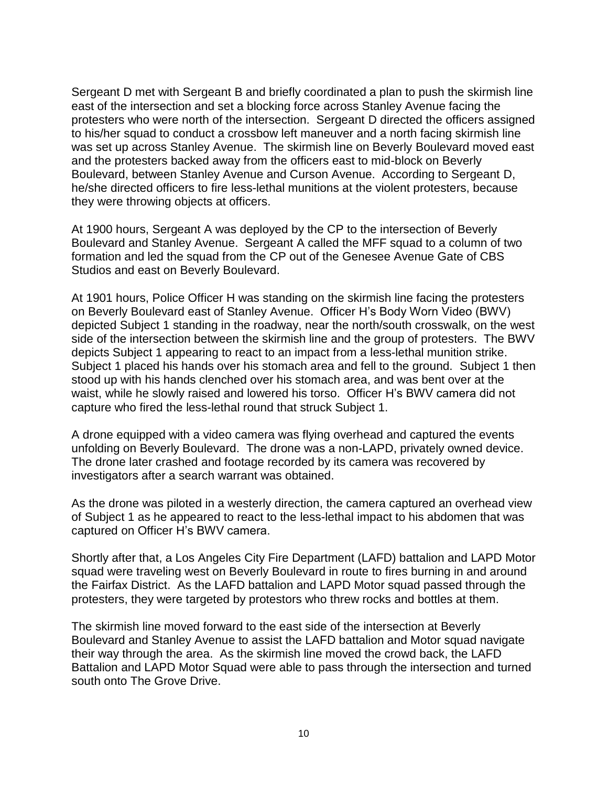Sergeant D met with Sergeant B and briefly coordinated a plan to push the skirmish line east of the intersection and set a blocking force across Stanley Avenue facing the protesters who were north of the intersection. Sergeant D directed the officers assigned to his/her squad to conduct a crossbow left maneuver and a north facing skirmish line was set up across Stanley Avenue. The skirmish line on Beverly Boulevard moved east and the protesters backed away from the officers east to mid-block on Beverly Boulevard, between Stanley Avenue and Curson Avenue. According to Sergeant D, he/she directed officers to fire less-lethal munitions at the violent protesters, because they were throwing objects at officers.

At 1900 hours, Sergeant A was deployed by the CP to the intersection of Beverly Boulevard and Stanley Avenue. Sergeant A called the MFF squad to a column of two formation and led the squad from the CP out of the Genesee Avenue Gate of CBS Studios and east on Beverly Boulevard.

At 1901 hours, Police Officer H was standing on the skirmish line facing the protesters on Beverly Boulevard east of Stanley Avenue. Officer H's Body Worn Video (BWV) depicted Subject 1 standing in the roadway, near the north/south crosswalk, on the west side of the intersection between the skirmish line and the group of protesters. The BWV depicts Subject 1 appearing to react to an impact from a less-lethal munition strike. Subject 1 placed his hands over his stomach area and fell to the ground. Subject 1 then stood up with his hands clenched over his stomach area, and was bent over at the waist, while he slowly raised and lowered his torso. Officer H's BWV camera did not capture who fired the less-lethal round that struck Subject 1.

A drone equipped with a video camera was flying overhead and captured the events unfolding on Beverly Boulevard. The drone was a non-LAPD, privately owned device. The drone later crashed and footage recorded by its camera was recovered by investigators after a search warrant was obtained.

As the drone was piloted in a westerly direction, the camera captured an overhead view of Subject 1 as he appeared to react to the less-lethal impact to his abdomen that was captured on Officer H's BWV camera.

Shortly after that, a Los Angeles City Fire Department (LAFD) battalion and LAPD Motor squad were traveling west on Beverly Boulevard in route to fires burning in and around the Fairfax District. As the LAFD battalion and LAPD Motor squad passed through the protesters, they were targeted by protestors who threw rocks and bottles at them.

The skirmish line moved forward to the east side of the intersection at Beverly Boulevard and Stanley Avenue to assist the LAFD battalion and Motor squad navigate their way through the area. As the skirmish line moved the crowd back, the LAFD Battalion and LAPD Motor Squad were able to pass through the intersection and turned south onto The Grove Drive.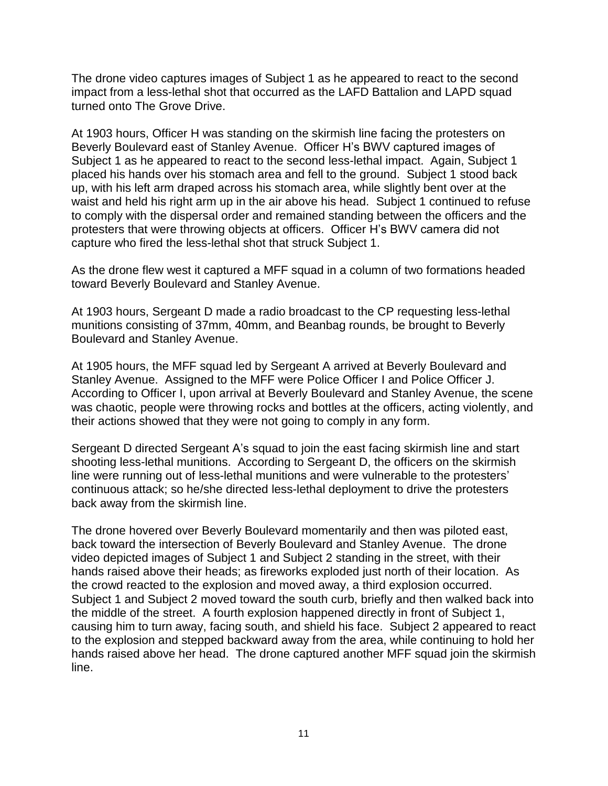The drone video captures images of Subject 1 as he appeared to react to the second impact from a less-lethal shot that occurred as the LAFD Battalion and LAPD squad turned onto The Grove Drive.

At 1903 hours, Officer H was standing on the skirmish line facing the protesters on Beverly Boulevard east of Stanley Avenue. Officer H's BWV captured images of Subject 1 as he appeared to react to the second less-lethal impact. Again, Subject 1 placed his hands over his stomach area and fell to the ground. Subject 1 stood back up, with his left arm draped across his stomach area, while slightly bent over at the waist and held his right arm up in the air above his head. Subject 1 continued to refuse to comply with the dispersal order and remained standing between the officers and the protesters that were throwing objects at officers. Officer H's BWV camera did not capture who fired the less-lethal shot that struck Subject 1.

As the drone flew west it captured a MFF squad in a column of two formations headed toward Beverly Boulevard and Stanley Avenue.

At 1903 hours, Sergeant D made a radio broadcast to the CP requesting less-lethal munitions consisting of 37mm, 40mm, and Beanbag rounds, be brought to Beverly Boulevard and Stanley Avenue.

At 1905 hours, the MFF squad led by Sergeant A arrived at Beverly Boulevard and Stanley Avenue. Assigned to the MFF were Police Officer I and Police Officer J. According to Officer I, upon arrival at Beverly Boulevard and Stanley Avenue, the scene was chaotic, people were throwing rocks and bottles at the officers, acting violently, and their actions showed that they were not going to comply in any form.

Sergeant D directed Sergeant A's squad to join the east facing skirmish line and start shooting less-lethal munitions. According to Sergeant D, the officers on the skirmish line were running out of less-lethal munitions and were vulnerable to the protesters' continuous attack; so he/she directed less-lethal deployment to drive the protesters back away from the skirmish line.

The drone hovered over Beverly Boulevard momentarily and then was piloted east, back toward the intersection of Beverly Boulevard and Stanley Avenue. The drone video depicted images of Subject 1 and Subject 2 standing in the street, with their hands raised above their heads; as fireworks exploded just north of their location. As the crowd reacted to the explosion and moved away, a third explosion occurred. Subject 1 and Subject 2 moved toward the south curb, briefly and then walked back into the middle of the street. A fourth explosion happened directly in front of Subject 1, causing him to turn away, facing south, and shield his face. Subject 2 appeared to react to the explosion and stepped backward away from the area, while continuing to hold her hands raised above her head. The drone captured another MFF squad join the skirmish line.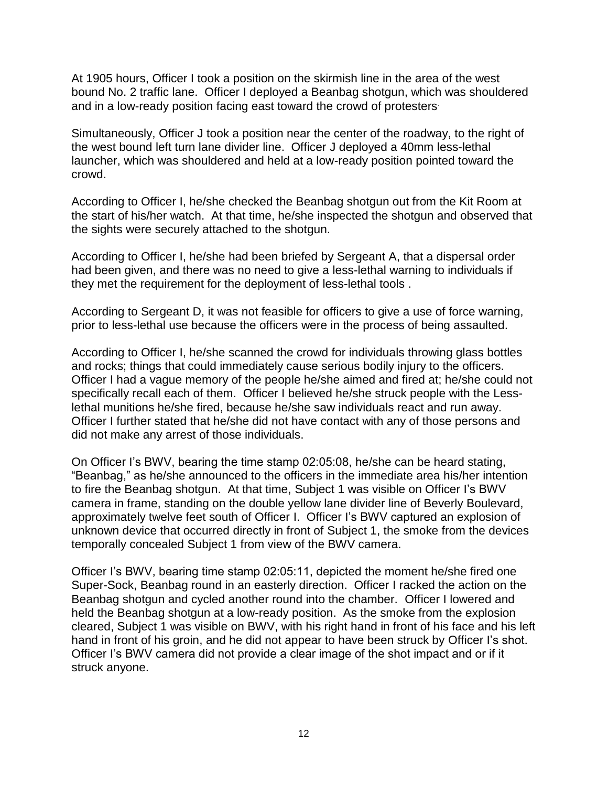At 1905 hours, Officer I took a position on the skirmish line in the area of the west bound No. 2 traffic lane. Officer I deployed a Beanbag shotgun, which was shouldered and in a low-ready position facing east toward the crowd of protesters.

Simultaneously, Officer J took a position near the center of the roadway, to the right of the west bound left turn lane divider line. Officer J deployed a 40mm less-lethal launcher, which was shouldered and held at a low-ready position pointed toward the crowd.

According to Officer I, he/she checked the Beanbag shotgun out from the Kit Room at the start of his/her watch. At that time, he/she inspected the shotgun and observed that the sights were securely attached to the shotgun.

According to Officer I, he/she had been briefed by Sergeant A, that a dispersal order had been given, and there was no need to give a less-lethal warning to individuals if they met the requirement for the deployment of less-lethal tools .

According to Sergeant D, it was not feasible for officers to give a use of force warning, prior to less-lethal use because the officers were in the process of being assaulted.

According to Officer I, he/she scanned the crowd for individuals throwing glass bottles and rocks; things that could immediately cause serious bodily injury to the officers. Officer I had a vague memory of the people he/she aimed and fired at; he/she could not specifically recall each of them. Officer I believed he/she struck people with the Lesslethal munitions he/she fired, because he/she saw individuals react and run away. Officer I further stated that he/she did not have contact with any of those persons and did not make any arrest of those individuals.

On Officer I's BWV, bearing the time stamp 02:05:08, he/she can be heard stating, "Beanbag," as he/she announced to the officers in the immediate area his/her intention to fire the Beanbag shotgun. At that time, Subject 1 was visible on Officer I's BWV camera in frame, standing on the double yellow lane divider line of Beverly Boulevard, approximately twelve feet south of Officer I. Officer I's BWV captured an explosion of unknown device that occurred directly in front of Subject 1, the smoke from the devices temporally concealed Subject 1 from view of the BWV camera.

Officer I's BWV, bearing time stamp 02:05:11, depicted the moment he/she fired one Super-Sock, Beanbag round in an easterly direction. Officer I racked the action on the Beanbag shotgun and cycled another round into the chamber. Officer I lowered and held the Beanbag shotgun at a low-ready position. As the smoke from the explosion cleared, Subject 1 was visible on BWV, with his right hand in front of his face and his left hand in front of his groin, and he did not appear to have been struck by Officer I's shot. Officer I's BWV camera did not provide a clear image of the shot impact and or if it struck anyone.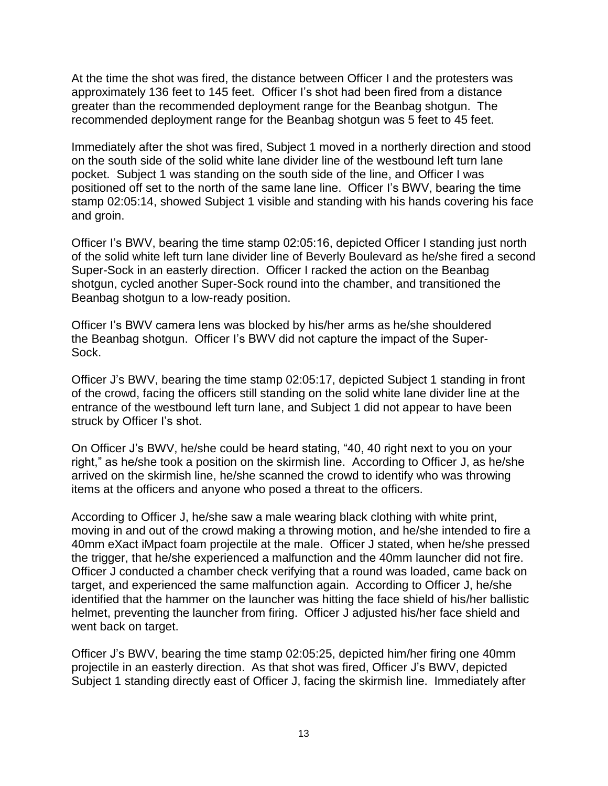At the time the shot was fired, the distance between Officer I and the protesters was approximately 136 feet to 145 feet. Officer I's shot had been fired from a distance greater than the recommended deployment range for the Beanbag shotgun. The recommended deployment range for the Beanbag shotgun was 5 feet to 45 feet.

Immediately after the shot was fired, Subject 1 moved in a northerly direction and stood on the south side of the solid white lane divider line of the westbound left turn lane pocket. Subject 1 was standing on the south side of the line, and Officer I was positioned off set to the north of the same lane line. Officer I's BWV, bearing the time stamp 02:05:14, showed Subject 1 visible and standing with his hands covering his face and groin.

Officer I's BWV, bearing the time stamp 02:05:16, depicted Officer I standing just north of the solid white left turn lane divider line of Beverly Boulevard as he/she fired a second Super-Sock in an easterly direction. Officer I racked the action on the Beanbag shotgun, cycled another Super-Sock round into the chamber, and transitioned the Beanbag shotgun to a low-ready position.

Officer I's BWV camera lens was blocked by his/her arms as he/she shouldered the Beanbag shotgun. Officer I's BWV did not capture the impact of the Super-Sock.

Officer J's BWV, bearing the time stamp 02:05:17, depicted Subject 1 standing in front of the crowd, facing the officers still standing on the solid white lane divider line at the entrance of the westbound left turn lane, and Subject 1 did not appear to have been struck by Officer I's shot.

On Officer J's BWV, he/she could be heard stating, "40, 40 right next to you on your right," as he/she took a position on the skirmish line. According to Officer J, as he/she arrived on the skirmish line, he/she scanned the crowd to identify who was throwing items at the officers and anyone who posed a threat to the officers.

According to Officer J, he/she saw a male wearing black clothing with white print, moving in and out of the crowd making a throwing motion, and he/she intended to fire a 40mm eXact iMpact foam projectile at the male. Officer J stated, when he/she pressed the trigger, that he/she experienced a malfunction and the 40mm launcher did not fire. Officer J conducted a chamber check verifying that a round was loaded, came back on target, and experienced the same malfunction again. According to Officer J, he/she identified that the hammer on the launcher was hitting the face shield of his/her ballistic helmet, preventing the launcher from firing. Officer J adjusted his/her face shield and went back on target.

Officer J's BWV, bearing the time stamp 02:05:25, depicted him/her firing one 40mm projectile in an easterly direction. As that shot was fired, Officer J's BWV, depicted Subject 1 standing directly east of Officer J, facing the skirmish line. Immediately after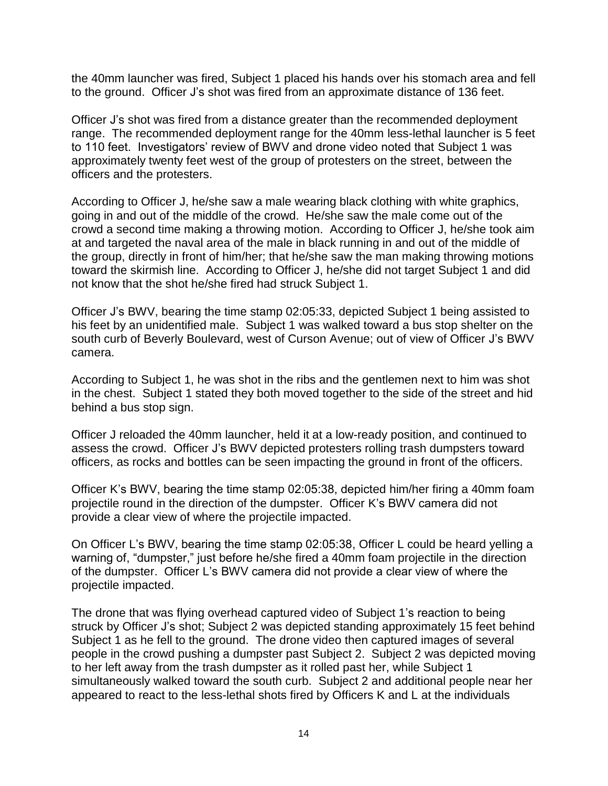the 40mm launcher was fired, Subject 1 placed his hands over his stomach area and fell to the ground. Officer J's shot was fired from an approximate distance of 136 feet.

Officer J's shot was fired from a distance greater than the recommended deployment range. The recommended deployment range for the 40mm less-lethal launcher is 5 feet to 110 feet. Investigators' review of BWV and drone video noted that Subject 1 was approximately twenty feet west of the group of protesters on the street, between the officers and the protesters.

According to Officer J, he/she saw a male wearing black clothing with white graphics, going in and out of the middle of the crowd. He/she saw the male come out of the crowd a second time making a throwing motion. According to Officer J, he/she took aim at and targeted the naval area of the male in black running in and out of the middle of the group, directly in front of him/her; that he/she saw the man making throwing motions toward the skirmish line. According to Officer J, he/she did not target Subject 1 and did not know that the shot he/she fired had struck Subject 1.

Officer J's BWV, bearing the time stamp 02:05:33, depicted Subject 1 being assisted to his feet by an unidentified male. Subject 1 was walked toward a bus stop shelter on the south curb of Beverly Boulevard, west of Curson Avenue; out of view of Officer J's BWV camera.

According to Subject 1, he was shot in the ribs and the gentlemen next to him was shot in the chest. Subject 1 stated they both moved together to the side of the street and hid behind a bus stop sign.

Officer J reloaded the 40mm launcher, held it at a low-ready position, and continued to assess the crowd. Officer J's BWV depicted protesters rolling trash dumpsters toward officers, as rocks and bottles can be seen impacting the ground in front of the officers.

Officer K's BWV, bearing the time stamp 02:05:38, depicted him/her firing a 40mm foam projectile round in the direction of the dumpster. Officer K's BWV camera did not provide a clear view of where the projectile impacted.

On Officer L's BWV, bearing the time stamp 02:05:38, Officer L could be heard yelling a warning of, "dumpster," just before he/she fired a 40mm foam projectile in the direction of the dumpster. Officer L's BWV camera did not provide a clear view of where the projectile impacted.

The drone that was flying overhead captured video of Subject 1's reaction to being struck by Officer J's shot; Subject 2 was depicted standing approximately 15 feet behind Subject 1 as he fell to the ground. The drone video then captured images of several people in the crowd pushing a dumpster past Subject 2. Subject 2 was depicted moving to her left away from the trash dumpster as it rolled past her, while Subject 1 simultaneously walked toward the south curb. Subject 2 and additional people near her appeared to react to the less-lethal shots fired by Officers K and L at the individuals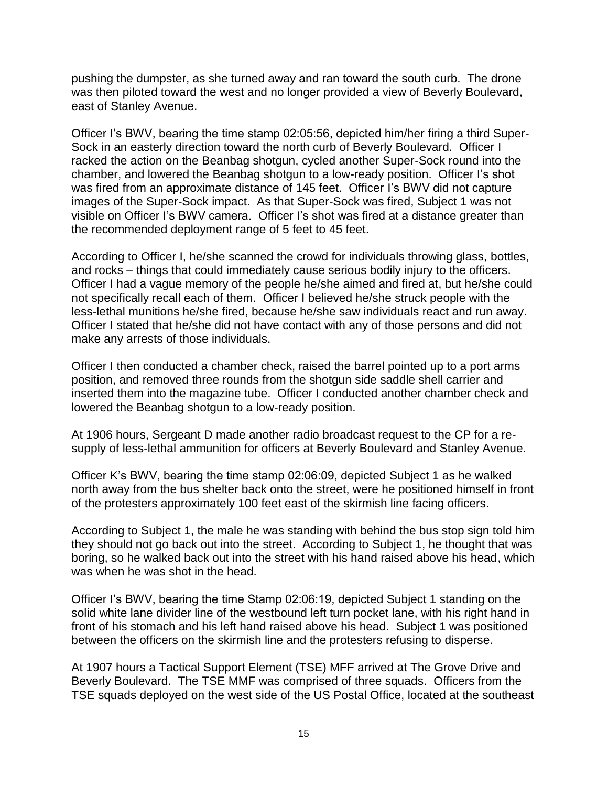pushing the dumpster, as she turned away and ran toward the south curb. The drone was then piloted toward the west and no longer provided a view of Beverly Boulevard, east of Stanley Avenue.

Officer I's BWV, bearing the time stamp 02:05:56, depicted him/her firing a third Super-Sock in an easterly direction toward the north curb of Beverly Boulevard. Officer I racked the action on the Beanbag shotgun, cycled another Super-Sock round into the chamber, and lowered the Beanbag shotgun to a low-ready position. Officer I's shot was fired from an approximate distance of 145 feet. Officer I's BWV did not capture images of the Super-Sock impact. As that Super-Sock was fired, Subject 1 was not visible on Officer I's BWV camera. Officer I's shot was fired at a distance greater than the recommended deployment range of 5 feet to 45 feet.

According to Officer I, he/she scanned the crowd for individuals throwing glass, bottles, and rocks – things that could immediately cause serious bodily injury to the officers. Officer I had a vague memory of the people he/she aimed and fired at, but he/she could not specifically recall each of them. Officer I believed he/she struck people with the less-lethal munitions he/she fired, because he/she saw individuals react and run away. Officer I stated that he/she did not have contact with any of those persons and did not make any arrests of those individuals.

Officer I then conducted a chamber check, raised the barrel pointed up to a port arms position, and removed three rounds from the shotgun side saddle shell carrier and inserted them into the magazine tube. Officer I conducted another chamber check and lowered the Beanbag shotgun to a low-ready position.

At 1906 hours, Sergeant D made another radio broadcast request to the CP for a resupply of less-lethal ammunition for officers at Beverly Boulevard and Stanley Avenue.

Officer K's BWV, bearing the time stamp 02:06:09, depicted Subject 1 as he walked north away from the bus shelter back onto the street, were he positioned himself in front of the protesters approximately 100 feet east of the skirmish line facing officers.

According to Subject 1, the male he was standing with behind the bus stop sign told him they should not go back out into the street. According to Subject 1, he thought that was boring, so he walked back out into the street with his hand raised above his head, which was when he was shot in the head.

Officer I's BWV, bearing the time Stamp 02:06:19, depicted Subject 1 standing on the solid white lane divider line of the westbound left turn pocket lane, with his right hand in front of his stomach and his left hand raised above his head. Subject 1 was positioned between the officers on the skirmish line and the protesters refusing to disperse.

At 1907 hours a Tactical Support Element (TSE) MFF arrived at The Grove Drive and Beverly Boulevard. The TSE MMF was comprised of three squads. Officers from the TSE squads deployed on the west side of the US Postal Office, located at the southeast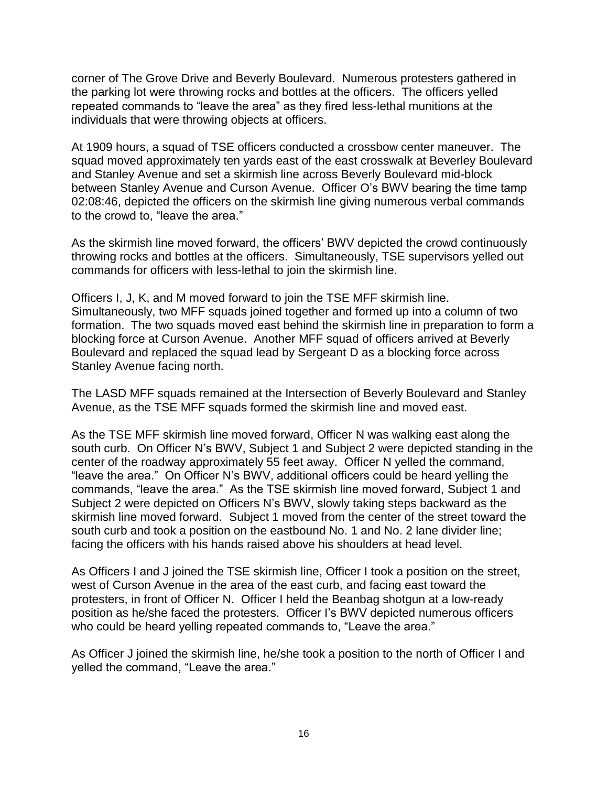corner of The Grove Drive and Beverly Boulevard. Numerous protesters gathered in the parking lot were throwing rocks and bottles at the officers. The officers yelled repeated commands to "leave the area" as they fired less-lethal munitions at the individuals that were throwing objects at officers.

At 1909 hours, a squad of TSE officers conducted a crossbow center maneuver. The squad moved approximately ten yards east of the east crosswalk at Beverley Boulevard and Stanley Avenue and set a skirmish line across Beverly Boulevard mid-block between Stanley Avenue and Curson Avenue. Officer O's BWV bearing the time tamp 02:08:46, depicted the officers on the skirmish line giving numerous verbal commands to the crowd to, "leave the area."

As the skirmish line moved forward, the officers' BWV depicted the crowd continuously throwing rocks and bottles at the officers. Simultaneously, TSE supervisors yelled out commands for officers with less-lethal to join the skirmish line.

Officers I, J, K, and M moved forward to join the TSE MFF skirmish line. Simultaneously, two MFF squads joined together and formed up into a column of two formation. The two squads moved east behind the skirmish line in preparation to form a blocking force at Curson Avenue. Another MFF squad of officers arrived at Beverly Boulevard and replaced the squad lead by Sergeant D as a blocking force across Stanley Avenue facing north.

The LASD MFF squads remained at the Intersection of Beverly Boulevard and Stanley Avenue, as the TSE MFF squads formed the skirmish line and moved east.

As the TSE MFF skirmish line moved forward, Officer N was walking east along the south curb. On Officer N's BWV, Subject 1 and Subject 2 were depicted standing in the center of the roadway approximately 55 feet away. Officer N yelled the command, "leave the area." On Officer N's BWV, additional officers could be heard yelling the commands, "leave the area." As the TSE skirmish line moved forward, Subject 1 and Subject 2 were depicted on Officers N's BWV, slowly taking steps backward as the skirmish line moved forward. Subject 1 moved from the center of the street toward the south curb and took a position on the eastbound No. 1 and No. 2 lane divider line; facing the officers with his hands raised above his shoulders at head level.

As Officers I and J joined the TSE skirmish line, Officer I took a position on the street, west of Curson Avenue in the area of the east curb, and facing east toward the protesters, in front of Officer N. Officer I held the Beanbag shotgun at a low-ready position as he/she faced the protesters. Officer I's BWV depicted numerous officers who could be heard yelling repeated commands to, "Leave the area."

As Officer J joined the skirmish line, he/she took a position to the north of Officer I and yelled the command, "Leave the area."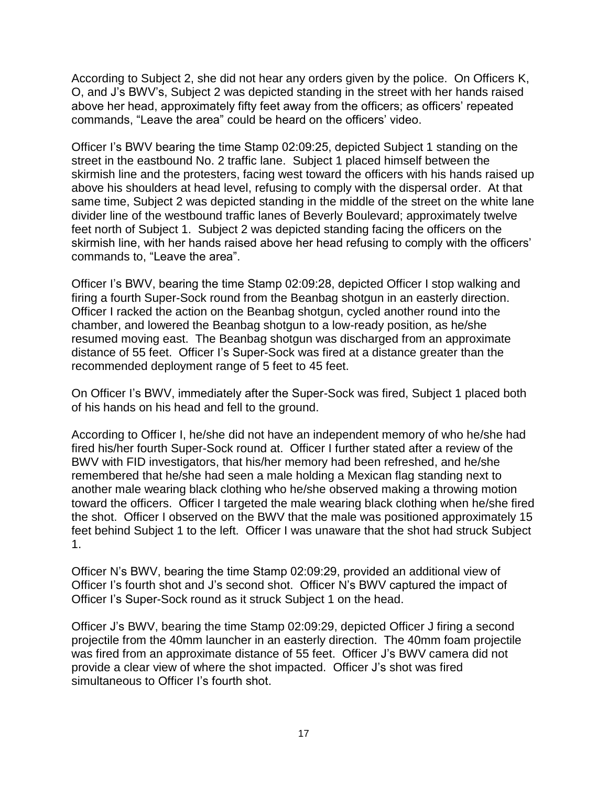According to Subject 2, she did not hear any orders given by the police. On Officers K, O, and J's BWV's, Subject 2 was depicted standing in the street with her hands raised above her head, approximately fifty feet away from the officers; as officers' repeated commands, "Leave the area" could be heard on the officers' video.

Officer I's BWV bearing the time Stamp 02:09:25, depicted Subject 1 standing on the street in the eastbound No. 2 traffic lane. Subject 1 placed himself between the skirmish line and the protesters, facing west toward the officers with his hands raised up above his shoulders at head level, refusing to comply with the dispersal order. At that same time, Subject 2 was depicted standing in the middle of the street on the white lane divider line of the westbound traffic lanes of Beverly Boulevard; approximately twelve feet north of Subject 1. Subject 2 was depicted standing facing the officers on the skirmish line, with her hands raised above her head refusing to comply with the officers' commands to, "Leave the area".

Officer I's BWV, bearing the time Stamp 02:09:28, depicted Officer I stop walking and firing a fourth Super-Sock round from the Beanbag shotgun in an easterly direction. Officer I racked the action on the Beanbag shotgun, cycled another round into the chamber, and lowered the Beanbag shotgun to a low-ready position, as he/she resumed moving east. The Beanbag shotgun was discharged from an approximate distance of 55 feet. Officer I's Super-Sock was fired at a distance greater than the recommended deployment range of 5 feet to 45 feet.

On Officer I's BWV, immediately after the Super-Sock was fired, Subject 1 placed both of his hands on his head and fell to the ground.

According to Officer I, he/she did not have an independent memory of who he/she had fired his/her fourth Super-Sock round at. Officer I further stated after a review of the BWV with FID investigators, that his/her memory had been refreshed, and he/she remembered that he/she had seen a male holding a Mexican flag standing next to another male wearing black clothing who he/she observed making a throwing motion toward the officers. Officer I targeted the male wearing black clothing when he/she fired the shot. Officer I observed on the BWV that the male was positioned approximately 15 feet behind Subject 1 to the left. Officer I was unaware that the shot had struck Subject 1.

Officer N's BWV, bearing the time Stamp 02:09:29, provided an additional view of Officer I's fourth shot and J's second shot. Officer N's BWV captured the impact of Officer I's Super-Sock round as it struck Subject 1 on the head.

Officer J's BWV, bearing the time Stamp 02:09:29, depicted Officer J firing a second projectile from the 40mm launcher in an easterly direction. The 40mm foam projectile was fired from an approximate distance of 55 feet. Officer J's BWV camera did not provide a clear view of where the shot impacted. Officer J's shot was fired simultaneous to Officer I's fourth shot.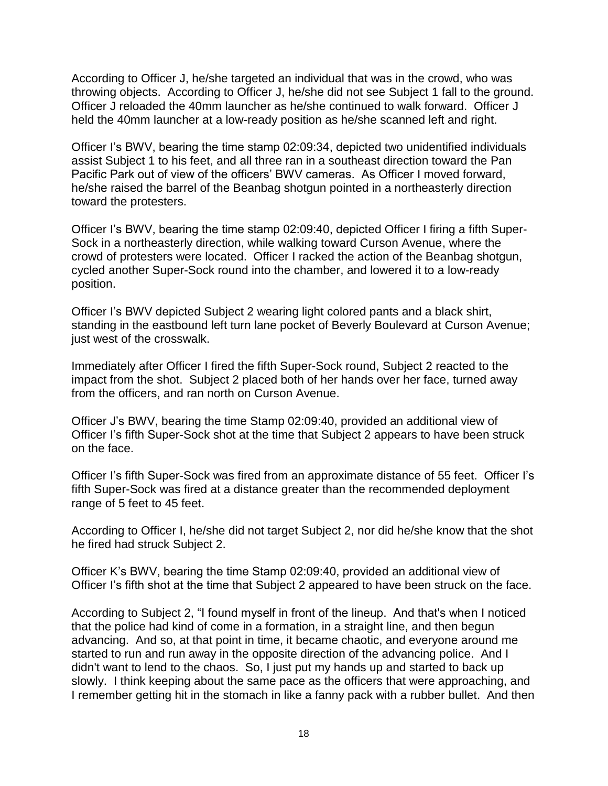According to Officer J, he/she targeted an individual that was in the crowd, who was throwing objects. According to Officer J, he/she did not see Subject 1 fall to the ground. Officer J reloaded the 40mm launcher as he/she continued to walk forward. Officer J held the 40mm launcher at a low-ready position as he/she scanned left and right.

Officer I's BWV, bearing the time stamp 02:09:34, depicted two unidentified individuals assist Subject 1 to his feet, and all three ran in a southeast direction toward the Pan Pacific Park out of view of the officers' BWV cameras. As Officer I moved forward, he/she raised the barrel of the Beanbag shotgun pointed in a northeasterly direction toward the protesters.

Officer I's BWV, bearing the time stamp 02:09:40, depicted Officer I firing a fifth Super-Sock in a northeasterly direction, while walking toward Curson Avenue, where the crowd of protesters were located. Officer I racked the action of the Beanbag shotgun, cycled another Super-Sock round into the chamber, and lowered it to a low-ready position.

Officer I's BWV depicted Subject 2 wearing light colored pants and a black shirt, standing in the eastbound left turn lane pocket of Beverly Boulevard at Curson Avenue; just west of the crosswalk.

Immediately after Officer I fired the fifth Super-Sock round, Subject 2 reacted to the impact from the shot. Subject 2 placed both of her hands over her face, turned away from the officers, and ran north on Curson Avenue.

Officer J's BWV, bearing the time Stamp 02:09:40, provided an additional view of Officer I's fifth Super-Sock shot at the time that Subject 2 appears to have been struck on the face.

Officer I's fifth Super-Sock was fired from an approximate distance of 55 feet. Officer I's fifth Super-Sock was fired at a distance greater than the recommended deployment range of 5 feet to 45 feet.

According to Officer I, he/she did not target Subject 2, nor did he/she know that the shot he fired had struck Subject 2.

Officer K's BWV, bearing the time Stamp 02:09:40, provided an additional view of Officer I's fifth shot at the time that Subject 2 appeared to have been struck on the face.

According to Subject 2, "I found myself in front of the lineup. And that's when I noticed that the police had kind of come in a formation, in a straight line, and then begun advancing. And so, at that point in time, it became chaotic, and everyone around me started to run and run away in the opposite direction of the advancing police. And I didn't want to lend to the chaos. So, I just put my hands up and started to back up slowly. I think keeping about the same pace as the officers that were approaching, and I remember getting hit in the stomach in like a fanny pack with a rubber bullet. And then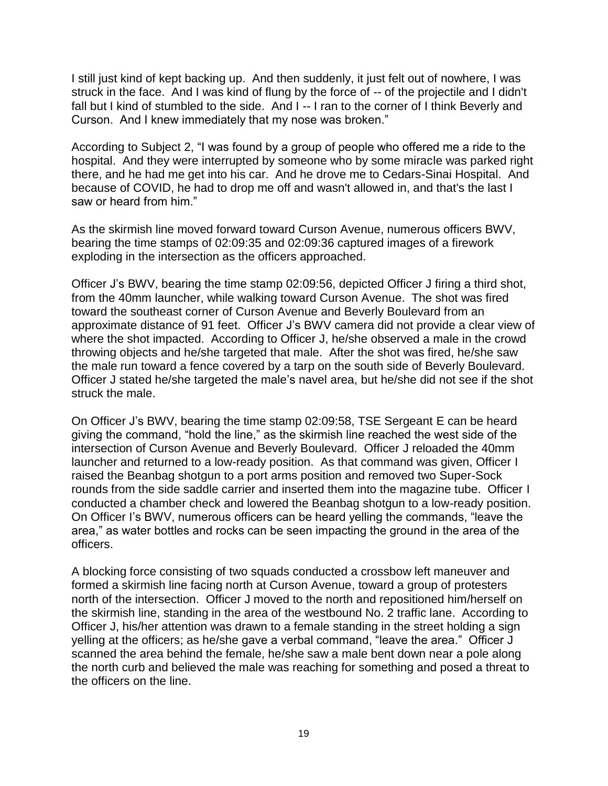I still just kind of kept backing up. And then suddenly, it just felt out of nowhere, I was struck in the face. And I was kind of flung by the force of -- of the projectile and I didn't fall but I kind of stumbled to the side. And I -- I ran to the corner of I think Beverly and Curson. And I knew immediately that my nose was broken."

According to Subject 2, "I was found by a group of people who offered me a ride to the hospital. And they were interrupted by someone who by some miracle was parked right there, and he had me get into his car. And he drove me to Cedars-Sinai Hospital. And because of COVID, he had to drop me off and wasn't allowed in, and that's the last I saw or heard from him."

As the skirmish line moved forward toward Curson Avenue, numerous officers BWV, bearing the time stamps of 02:09:35 and 02:09:36 captured images of a firework exploding in the intersection as the officers approached.

Officer J's BWV, bearing the time stamp 02:09:56, depicted Officer J firing a third shot, from the 40mm launcher, while walking toward Curson Avenue. The shot was fired toward the southeast corner of Curson Avenue and Beverly Boulevard from an approximate distance of 91 feet. Officer J's BWV camera did not provide a clear view of where the shot impacted. According to Officer J, he/she observed a male in the crowd throwing objects and he/she targeted that male. After the shot was fired, he/she saw the male run toward a fence covered by a tarp on the south side of Beverly Boulevard. Officer J stated he/she targeted the male's navel area, but he/she did not see if the shot struck the male.

On Officer J's BWV, bearing the time stamp 02:09:58, TSE Sergeant E can be heard giving the command, "hold the line," as the skirmish line reached the west side of the intersection of Curson Avenue and Beverly Boulevard. Officer J reloaded the 40mm launcher and returned to a low-ready position. As that command was given, Officer I raised the Beanbag shotgun to a port arms position and removed two Super-Sock rounds from the side saddle carrier and inserted them into the magazine tube. Officer I conducted a chamber check and lowered the Beanbag shotgun to a low-ready position. On Officer I's BWV, numerous officers can be heard yelling the commands, "leave the area," as water bottles and rocks can be seen impacting the ground in the area of the officers.

A blocking force consisting of two squads conducted a crossbow left maneuver and formed a skirmish line facing north at Curson Avenue, toward a group of protesters north of the intersection. Officer J moved to the north and repositioned him/herself on the skirmish line, standing in the area of the westbound No. 2 traffic lane. According to Officer J, his/her attention was drawn to a female standing in the street holding a sign yelling at the officers; as he/she gave a verbal command, "leave the area." Officer J scanned the area behind the female, he/she saw a male bent down near a pole along the north curb and believed the male was reaching for something and posed a threat to the officers on the line.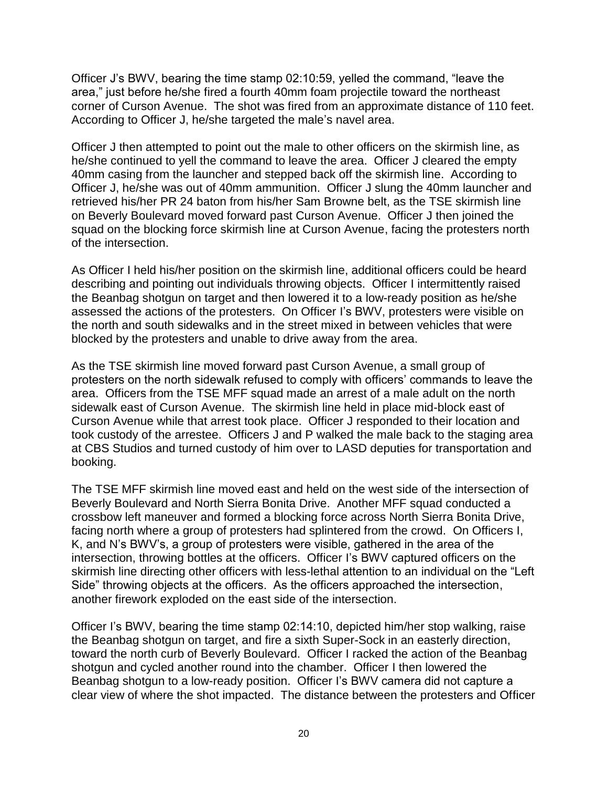Officer J's BWV, bearing the time stamp 02:10:59, yelled the command, "leave the area," just before he/she fired a fourth 40mm foam projectile toward the northeast corner of Curson Avenue. The shot was fired from an approximate distance of 110 feet. According to Officer J, he/she targeted the male's navel area.

Officer J then attempted to point out the male to other officers on the skirmish line, as he/she continued to yell the command to leave the area. Officer J cleared the empty 40mm casing from the launcher and stepped back off the skirmish line. According to Officer J, he/she was out of 40mm ammunition. Officer J slung the 40mm launcher and retrieved his/her PR 24 baton from his/her Sam Browne belt, as the TSE skirmish line on Beverly Boulevard moved forward past Curson Avenue. Officer J then joined the squad on the blocking force skirmish line at Curson Avenue, facing the protesters north of the intersection.

As Officer I held his/her position on the skirmish line, additional officers could be heard describing and pointing out individuals throwing objects. Officer I intermittently raised the Beanbag shotgun on target and then lowered it to a low-ready position as he/she assessed the actions of the protesters. On Officer I's BWV, protesters were visible on the north and south sidewalks and in the street mixed in between vehicles that were blocked by the protesters and unable to drive away from the area.

As the TSE skirmish line moved forward past Curson Avenue, a small group of protesters on the north sidewalk refused to comply with officers' commands to leave the area. Officers from the TSE MFF squad made an arrest of a male adult on the north sidewalk east of Curson Avenue. The skirmish line held in place mid-block east of Curson Avenue while that arrest took place. Officer J responded to their location and took custody of the arrestee. Officers J and P walked the male back to the staging area at CBS Studios and turned custody of him over to LASD deputies for transportation and booking.

The TSE MFF skirmish line moved east and held on the west side of the intersection of Beverly Boulevard and North Sierra Bonita Drive. Another MFF squad conducted a crossbow left maneuver and formed a blocking force across North Sierra Bonita Drive, facing north where a group of protesters had splintered from the crowd. On Officers I, K, and N's BWV's, a group of protesters were visible, gathered in the area of the intersection, throwing bottles at the officers. Officer I's BWV captured officers on the skirmish line directing other officers with less-lethal attention to an individual on the "Left Side" throwing objects at the officers. As the officers approached the intersection, another firework exploded on the east side of the intersection.

Officer I's BWV, bearing the time stamp 02:14:10, depicted him/her stop walking, raise the Beanbag shotgun on target, and fire a sixth Super-Sock in an easterly direction, toward the north curb of Beverly Boulevard. Officer I racked the action of the Beanbag shotgun and cycled another round into the chamber. Officer I then lowered the Beanbag shotgun to a low-ready position. Officer I's BWV camera did not capture a clear view of where the shot impacted. The distance between the protesters and Officer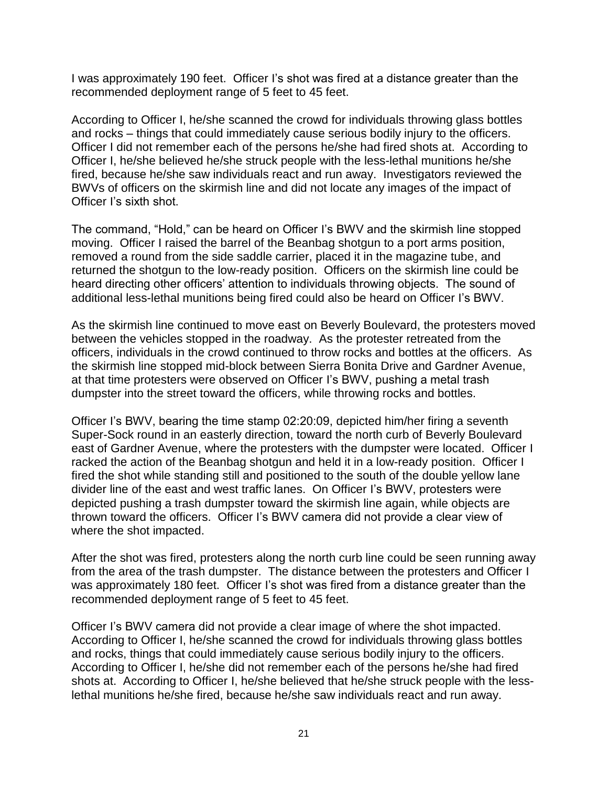I was approximately 190 feet. Officer I's shot was fired at a distance greater than the recommended deployment range of 5 feet to 45 feet.

According to Officer I, he/she scanned the crowd for individuals throwing glass bottles and rocks – things that could immediately cause serious bodily injury to the officers. Officer I did not remember each of the persons he/she had fired shots at. According to Officer I, he/she believed he/she struck people with the less-lethal munitions he/she fired, because he/she saw individuals react and run away. Investigators reviewed the BWVs of officers on the skirmish line and did not locate any images of the impact of Officer I's sixth shot.

The command, "Hold," can be heard on Officer I's BWV and the skirmish line stopped moving. Officer I raised the barrel of the Beanbag shotgun to a port arms position, removed a round from the side saddle carrier, placed it in the magazine tube, and returned the shotgun to the low-ready position. Officers on the skirmish line could be heard directing other officers' attention to individuals throwing objects. The sound of additional less-lethal munitions being fired could also be heard on Officer I's BWV.

As the skirmish line continued to move east on Beverly Boulevard, the protesters moved between the vehicles stopped in the roadway. As the protester retreated from the officers, individuals in the crowd continued to throw rocks and bottles at the officers. As the skirmish line stopped mid-block between Sierra Bonita Drive and Gardner Avenue, at that time protesters were observed on Officer I's BWV, pushing a metal trash dumpster into the street toward the officers, while throwing rocks and bottles.

Officer I's BWV, bearing the time stamp 02:20:09, depicted him/her firing a seventh Super-Sock round in an easterly direction, toward the north curb of Beverly Boulevard east of Gardner Avenue, where the protesters with the dumpster were located. Officer I racked the action of the Beanbag shotgun and held it in a low-ready position. Officer I fired the shot while standing still and positioned to the south of the double yellow lane divider line of the east and west traffic lanes. On Officer I's BWV, protesters were depicted pushing a trash dumpster toward the skirmish line again, while objects are thrown toward the officers. Officer I's BWV camera did not provide a clear view of where the shot impacted.

After the shot was fired, protesters along the north curb line could be seen running away from the area of the trash dumpster. The distance between the protesters and Officer I was approximately 180 feet. Officer I's shot was fired from a distance greater than the recommended deployment range of 5 feet to 45 feet.

Officer I's BWV camera did not provide a clear image of where the shot impacted. According to Officer I, he/she scanned the crowd for individuals throwing glass bottles and rocks, things that could immediately cause serious bodily injury to the officers. According to Officer I, he/she did not remember each of the persons he/she had fired shots at. According to Officer I, he/she believed that he/she struck people with the lesslethal munitions he/she fired, because he/she saw individuals react and run away.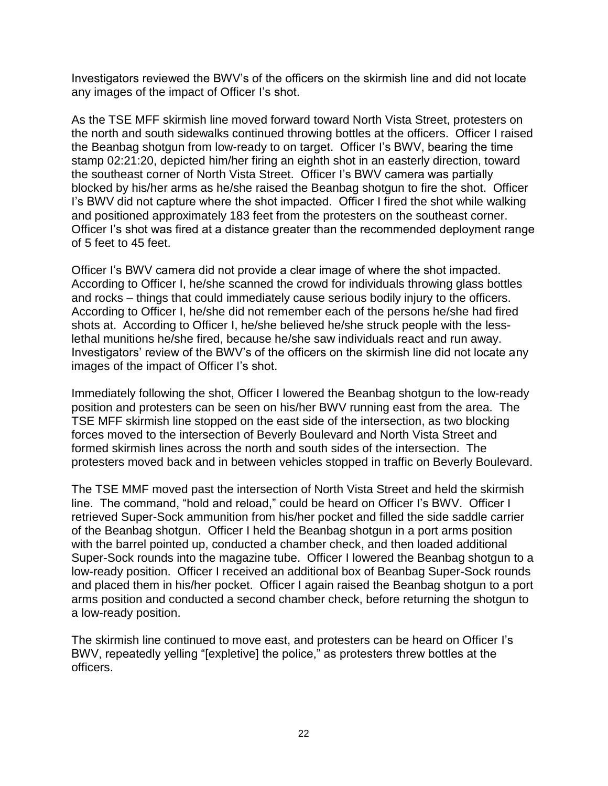Investigators reviewed the BWV's of the officers on the skirmish line and did not locate any images of the impact of Officer I's shot.

As the TSE MFF skirmish line moved forward toward North Vista Street, protesters on the north and south sidewalks continued throwing bottles at the officers. Officer I raised the Beanbag shotgun from low-ready to on target. Officer I's BWV, bearing the time stamp 02:21:20, depicted him/her firing an eighth shot in an easterly direction, toward the southeast corner of North Vista Street. Officer I's BWV camera was partially blocked by his/her arms as he/she raised the Beanbag shotgun to fire the shot. Officer I's BWV did not capture where the shot impacted. Officer I fired the shot while walking and positioned approximately 183 feet from the protesters on the southeast corner. Officer I's shot was fired at a distance greater than the recommended deployment range of 5 feet to 45 feet.

Officer I's BWV camera did not provide a clear image of where the shot impacted. According to Officer I, he/she scanned the crowd for individuals throwing glass bottles and rocks – things that could immediately cause serious bodily injury to the officers. According to Officer I, he/she did not remember each of the persons he/she had fired shots at. According to Officer I, he/she believed he/she struck people with the lesslethal munitions he/she fired, because he/she saw individuals react and run away. Investigators' review of the BWV's of the officers on the skirmish line did not locate any images of the impact of Officer I's shot.

Immediately following the shot, Officer I lowered the Beanbag shotgun to the low-ready position and protesters can be seen on his/her BWV running east from the area. The TSE MFF skirmish line stopped on the east side of the intersection, as two blocking forces moved to the intersection of Beverly Boulevard and North Vista Street and formed skirmish lines across the north and south sides of the intersection. The protesters moved back and in between vehicles stopped in traffic on Beverly Boulevard.

The TSE MMF moved past the intersection of North Vista Street and held the skirmish line. The command, "hold and reload," could be heard on Officer I's BWV. Officer I retrieved Super-Sock ammunition from his/her pocket and filled the side saddle carrier of the Beanbag shotgun. Officer I held the Beanbag shotgun in a port arms position with the barrel pointed up, conducted a chamber check, and then loaded additional Super-Sock rounds into the magazine tube. Officer I lowered the Beanbag shotgun to a low-ready position. Officer I received an additional box of Beanbag Super-Sock rounds and placed them in his/her pocket. Officer I again raised the Beanbag shotgun to a port arms position and conducted a second chamber check, before returning the shotgun to a low-ready position.

The skirmish line continued to move east, and protesters can be heard on Officer I's BWV, repeatedly yelling "[expletive] the police," as protesters threw bottles at the officers.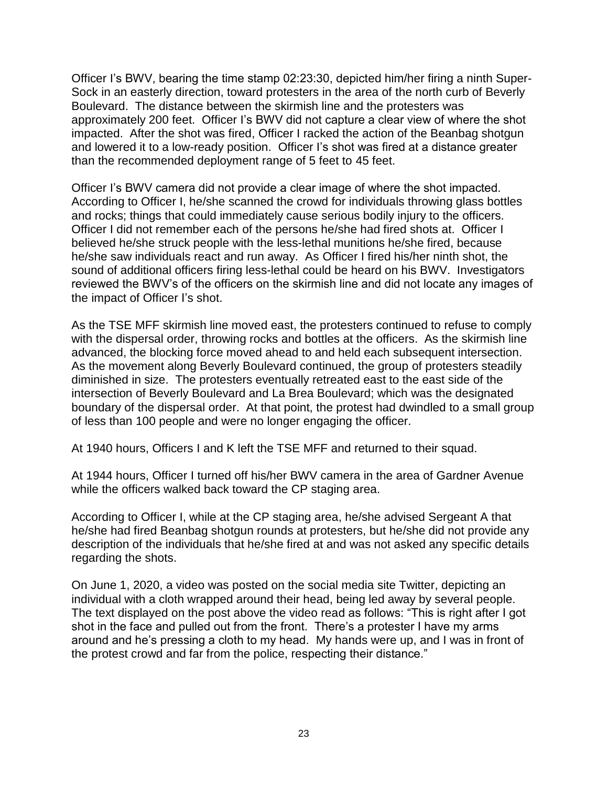Officer I's BWV, bearing the time stamp 02:23:30, depicted him/her firing a ninth Super-Sock in an easterly direction, toward protesters in the area of the north curb of Beverly Boulevard. The distance between the skirmish line and the protesters was approximately 200 feet. Officer I's BWV did not capture a clear view of where the shot impacted. After the shot was fired, Officer I racked the action of the Beanbag shotgun and lowered it to a low-ready position. Officer I's shot was fired at a distance greater than the recommended deployment range of 5 feet to 45 feet.

Officer I's BWV camera did not provide a clear image of where the shot impacted. According to Officer I, he/she scanned the crowd for individuals throwing glass bottles and rocks; things that could immediately cause serious bodily injury to the officers. Officer I did not remember each of the persons he/she had fired shots at. Officer I believed he/she struck people with the less-lethal munitions he/she fired, because he/she saw individuals react and run away. As Officer I fired his/her ninth shot, the sound of additional officers firing less-lethal could be heard on his BWV. Investigators reviewed the BWV's of the officers on the skirmish line and did not locate any images of the impact of Officer I's shot.

As the TSE MFF skirmish line moved east, the protesters continued to refuse to comply with the dispersal order, throwing rocks and bottles at the officers. As the skirmish line advanced, the blocking force moved ahead to and held each subsequent intersection. As the movement along Beverly Boulevard continued, the group of protesters steadily diminished in size. The protesters eventually retreated east to the east side of the intersection of Beverly Boulevard and La Brea Boulevard; which was the designated boundary of the dispersal order. At that point, the protest had dwindled to a small group of less than 100 people and were no longer engaging the officer.

At 1940 hours, Officers I and K left the TSE MFF and returned to their squad.

At 1944 hours, Officer I turned off his/her BWV camera in the area of Gardner Avenue while the officers walked back toward the CP staging area.

According to Officer I, while at the CP staging area, he/she advised Sergeant A that he/she had fired Beanbag shotgun rounds at protesters, but he/she did not provide any description of the individuals that he/she fired at and was not asked any specific details regarding the shots.

On June 1, 2020, a video was posted on the social media site Twitter, depicting an individual with a cloth wrapped around their head, being led away by several people. The text displayed on the post above the video read as follows: "This is right after I got shot in the face and pulled out from the front. There's a protester I have my arms around and he's pressing a cloth to my head. My hands were up, and I was in front of the protest crowd and far from the police, respecting their distance."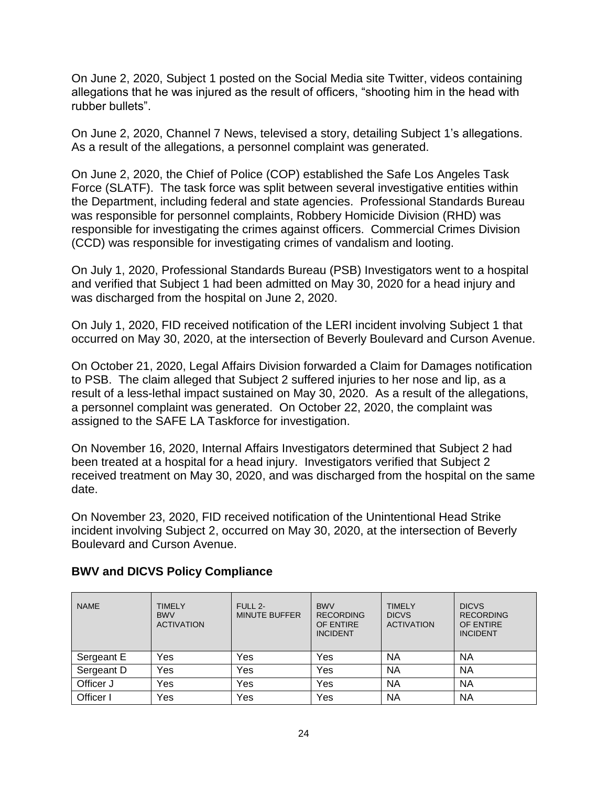On June 2, 2020, Subject 1 posted on the Social Media site Twitter, videos containing allegations that he was injured as the result of officers, "shooting him in the head with rubber bullets".

On June 2, 2020, Channel 7 News, televised a story, detailing Subject 1's allegations. As a result of the allegations, a personnel complaint was generated.

On June 2, 2020, the Chief of Police (COP) established the Safe Los Angeles Task Force (SLATF). The task force was split between several investigative entities within the Department, including federal and state agencies. Professional Standards Bureau was responsible for personnel complaints, Robbery Homicide Division (RHD) was responsible for investigating the crimes against officers. Commercial Crimes Division (CCD) was responsible for investigating crimes of vandalism and looting.

On July 1, 2020, Professional Standards Bureau (PSB) Investigators went to a hospital and verified that Subject 1 had been admitted on May 30, 2020 for a head injury and was discharged from the hospital on June 2, 2020.

On July 1, 2020, FID received notification of the LERI incident involving Subject 1 that occurred on May 30, 2020, at the intersection of Beverly Boulevard and Curson Avenue.

On October 21, 2020, Legal Affairs Division forwarded a Claim for Damages notification to PSB. The claim alleged that Subject 2 suffered injuries to her nose and lip, as a result of a less-lethal impact sustained on May 30, 2020. As a result of the allegations, a personnel complaint was generated. On October 22, 2020, the complaint was assigned to the SAFE LA Taskforce for investigation.

On November 16, 2020, Internal Affairs Investigators determined that Subject 2 had been treated at a hospital for a head injury. Investigators verified that Subject 2 received treatment on May 30, 2020, and was discharged from the hospital on the same date.

On November 23, 2020, FID received notification of the Unintentional Head Strike incident involving Subject 2, occurred on May 30, 2020, at the intersection of Beverly Boulevard and Curson Avenue.

| <b>NAME</b> | <b>TIMELY</b><br><b>BWV</b><br><b>ACTIVATION</b> | FULL 2-<br><b>MINUTE BUFFER</b> | <b>BWV</b><br><b>RECORDING</b><br>OF ENTIRE<br><b>INCIDENT</b> | <b>TIMELY</b><br><b>DICVS</b><br><b>ACTIVATION</b> | <b>DICVS</b><br><b>RECORDING</b><br>OF ENTIRE<br><b>INCIDENT</b> |
|-------------|--------------------------------------------------|---------------------------------|----------------------------------------------------------------|----------------------------------------------------|------------------------------------------------------------------|
| Sergeant E  | Yes                                              | Yes                             | Yes                                                            | NA                                                 | <b>NA</b>                                                        |
| Sergeant D  | Yes                                              | Yes                             | Yes                                                            | NA                                                 | <b>NA</b>                                                        |
| Officer J   | Yes                                              | Yes                             | Yes                                                            | <b>NA</b>                                          | <b>NA</b>                                                        |
| Officer I   | Yes                                              | Yes                             | Yes                                                            | NA                                                 | <b>NA</b>                                                        |

## **BWV and DICVS Policy Compliance**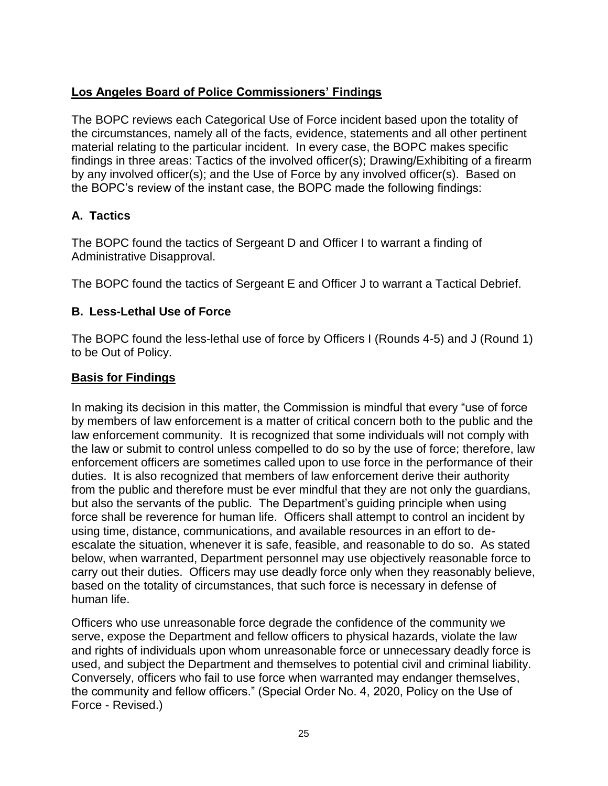# **Los Angeles Board of Police Commissioners' Findings**

The BOPC reviews each Categorical Use of Force incident based upon the totality of the circumstances, namely all of the facts, evidence, statements and all other pertinent material relating to the particular incident. In every case, the BOPC makes specific findings in three areas: Tactics of the involved officer(s); Drawing/Exhibiting of a firearm by any involved officer(s); and the Use of Force by any involved officer(s). Based on the BOPC's review of the instant case, the BOPC made the following findings:

# **A. Tactics**

The BOPC found the tactics of Sergeant D and Officer I to warrant a finding of Administrative Disapproval.

The BOPC found the tactics of Sergeant E and Officer J to warrant a Tactical Debrief.

# **B. Less-Lethal Use of Force**

The BOPC found the less-lethal use of force by Officers I (Rounds 4-5) and J (Round 1) to be Out of Policy.

# **Basis for Findings**

In making its decision in this matter, the Commission is mindful that every "use of force by members of law enforcement is a matter of critical concern both to the public and the law enforcement community. It is recognized that some individuals will not comply with the law or submit to control unless compelled to do so by the use of force; therefore, law enforcement officers are sometimes called upon to use force in the performance of their duties. It is also recognized that members of law enforcement derive their authority from the public and therefore must be ever mindful that they are not only the guardians, but also the servants of the public. The Department's guiding principle when using force shall be reverence for human life. Officers shall attempt to control an incident by using time, distance, communications, and available resources in an effort to deescalate the situation, whenever it is safe, feasible, and reasonable to do so. As stated below, when warranted, Department personnel may use objectively reasonable force to carry out their duties. Officers may use deadly force only when they reasonably believe, based on the totality of circumstances, that such force is necessary in defense of human life.

Officers who use unreasonable force degrade the confidence of the community we serve, expose the Department and fellow officers to physical hazards, violate the law and rights of individuals upon whom unreasonable force or unnecessary deadly force is used, and subject the Department and themselves to potential civil and criminal liability. Conversely, officers who fail to use force when warranted may endanger themselves, the community and fellow officers." (Special Order No. 4, 2020, Policy on the Use of Force - Revised.)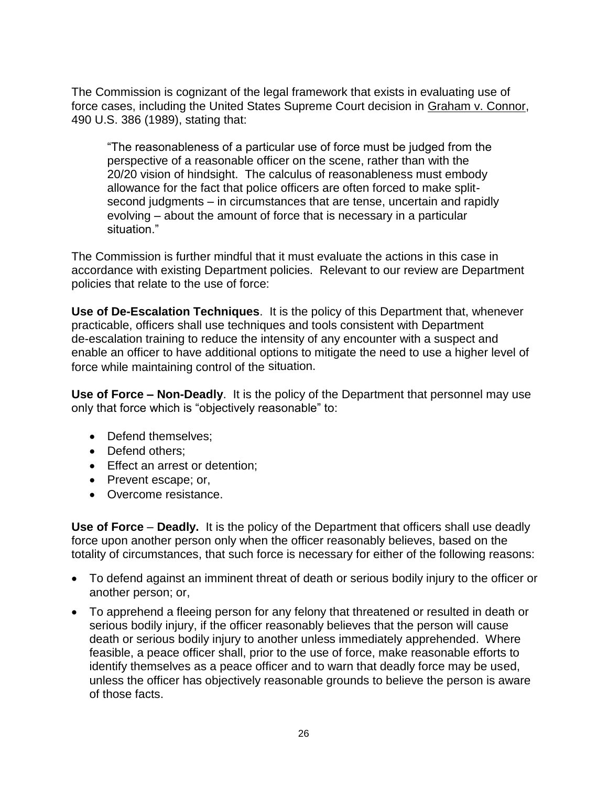The Commission is cognizant of the legal framework that exists in evaluating use of force cases, including the United States Supreme Court decision in Graham v. Connor, 490 U.S. 386 (1989), stating that:

"The reasonableness of a particular use of force must be judged from the perspective of a reasonable officer on the scene, rather than with the 20/20 vision of hindsight. The calculus of reasonableness must embody allowance for the fact that police officers are often forced to make splitsecond judgments – in circumstances that are tense, uncertain and rapidly evolving – about the amount of force that is necessary in a particular situation."

The Commission is further mindful that it must evaluate the actions in this case in accordance with existing Department policies. Relevant to our review are Department policies that relate to the use of force:

**Use of De-Escalation Techniques**. It is the policy of this Department that, whenever practicable, officers shall use techniques and tools consistent with Department de-escalation training to reduce the intensity of any encounter with a suspect and enable an officer to have additional options to mitigate the need to use a higher level of force while maintaining control of the situation.

**Use of Force – Non-Deadly**. It is the policy of the Department that personnel may use only that force which is "objectively reasonable" to:

- Defend themselves;
- Defend others:
- Effect an arrest or detention;
- Prevent escape; or,
- Overcome resistance.

**Use of Force** – **Deadly.** It is the policy of the Department that officers shall use deadly force upon another person only when the officer reasonably believes, based on the totality of circumstances, that such force is necessary for either of the following reasons:

- To defend against an imminent threat of death or serious bodily injury to the officer or another person; or,
- To apprehend a fleeing person for any felony that threatened or resulted in death or serious bodily injury, if the officer reasonably believes that the person will cause death or serious bodily injury to another unless immediately apprehended. Where feasible, a peace officer shall, prior to the use of force, make reasonable efforts to identify themselves as a peace officer and to warn that deadly force may be used, unless the officer has objectively reasonable grounds to believe the person is aware of those facts.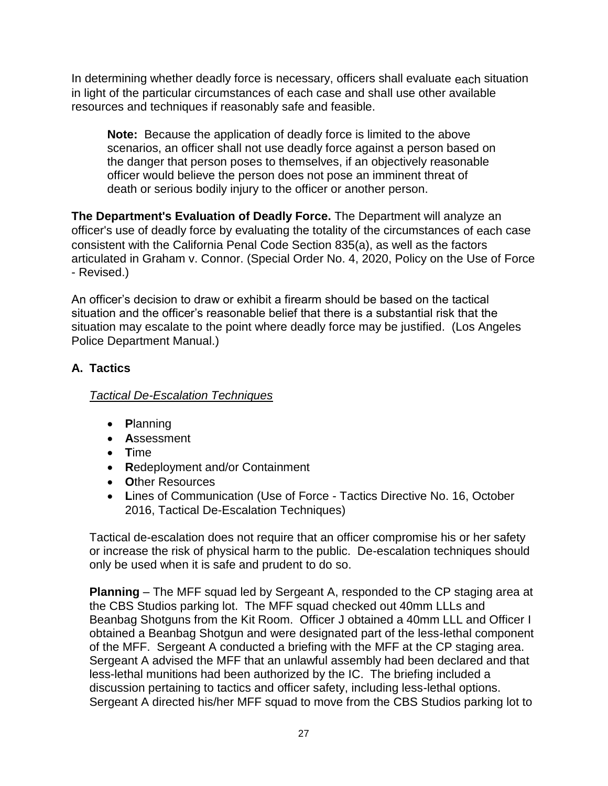In determining whether deadly force is necessary, officers shall evaluate each situation in light of the particular circumstances of each case and shall use other available resources and techniques if reasonably safe and feasible.

**Note:** Because the application of deadly force is limited to the above scenarios, an officer shall not use deadly force against a person based on the danger that person poses to themselves, if an objectively reasonable officer would believe the person does not pose an imminent threat of death or serious bodily injury to the officer or another person.

**The Department's Evaluation of Deadly Force.** The Department will analyze an officer's use of deadly force by evaluating the totality of the circumstances of each case consistent with the California Penal Code Section 835(a), as well as the factors articulated in Graham v. Connor. (Special Order No. 4, 2020, Policy on the Use of Force - Revised.)

An officer's decision to draw or exhibit a firearm should be based on the tactical situation and the officer's reasonable belief that there is a substantial risk that the situation may escalate to the point where deadly force may be justified. (Los Angeles Police Department Manual.)

# **A. Tactics**

# *Tactical De-Escalation Techniques*

- **P**lanning
- **A**ssessment
- **T**ime
- **R**edeployment and/or Containment
- **O**ther Resources
- **L**ines of Communication (Use of Force Tactics Directive No. 16, October 2016, Tactical De-Escalation Techniques)

Tactical de-escalation does not require that an officer compromise his or her safety or increase the risk of physical harm to the public. De-escalation techniques should only be used when it is safe and prudent to do so.

**Planning** – The MFF squad led by Sergeant A, responded to the CP staging area at the CBS Studios parking lot. The MFF squad checked out 40mm LLLs and Beanbag Shotguns from the Kit Room. Officer J obtained a 40mm LLL and Officer I obtained a Beanbag Shotgun and were designated part of the less-lethal component of the MFF. Sergeant A conducted a briefing with the MFF at the CP staging area. Sergeant A advised the MFF that an unlawful assembly had been declared and that less-lethal munitions had been authorized by the IC. The briefing included a discussion pertaining to tactics and officer safety, including less-lethal options. Sergeant A directed his/her MFF squad to move from the CBS Studios parking lot to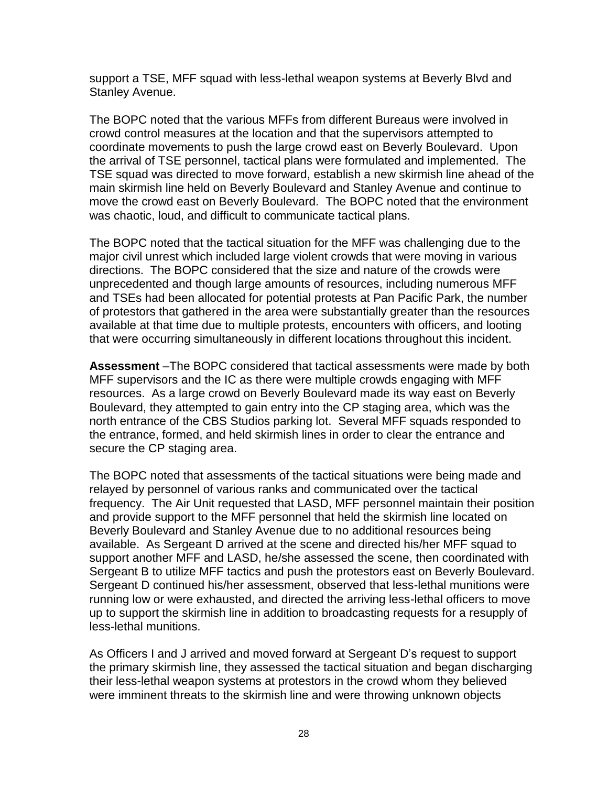support a TSE, MFF squad with less-lethal weapon systems at Beverly Blvd and Stanley Avenue.

The BOPC noted that the various MFFs from different Bureaus were involved in crowd control measures at the location and that the supervisors attempted to coordinate movements to push the large crowd east on Beverly Boulevard. Upon the arrival of TSE personnel, tactical plans were formulated and implemented. The TSE squad was directed to move forward, establish a new skirmish line ahead of the main skirmish line held on Beverly Boulevard and Stanley Avenue and continue to move the crowd east on Beverly Boulevard. The BOPC noted that the environment was chaotic, loud, and difficult to communicate tactical plans.

The BOPC noted that the tactical situation for the MFF was challenging due to the major civil unrest which included large violent crowds that were moving in various directions. The BOPC considered that the size and nature of the crowds were unprecedented and though large amounts of resources, including numerous MFF and TSEs had been allocated for potential protests at Pan Pacific Park, the number of protestors that gathered in the area were substantially greater than the resources available at that time due to multiple protests, encounters with officers, and looting that were occurring simultaneously in different locations throughout this incident.

**Assessment** –The BOPC considered that tactical assessments were made by both MFF supervisors and the IC as there were multiple crowds engaging with MFF resources. As a large crowd on Beverly Boulevard made its way east on Beverly Boulevard, they attempted to gain entry into the CP staging area, which was the north entrance of the CBS Studios parking lot. Several MFF squads responded to the entrance, formed, and held skirmish lines in order to clear the entrance and secure the CP staging area.

The BOPC noted that assessments of the tactical situations were being made and relayed by personnel of various ranks and communicated over the tactical frequency. The Air Unit requested that LASD, MFF personnel maintain their position and provide support to the MFF personnel that held the skirmish line located on Beverly Boulevard and Stanley Avenue due to no additional resources being available. As Sergeant D arrived at the scene and directed his/her MFF squad to support another MFF and LASD, he/she assessed the scene, then coordinated with Sergeant B to utilize MFF tactics and push the protestors east on Beverly Boulevard. Sergeant D continued his/her assessment, observed that less-lethal munitions were running low or were exhausted, and directed the arriving less-lethal officers to move up to support the skirmish line in addition to broadcasting requests for a resupply of less-lethal munitions.

As Officers I and J arrived and moved forward at Sergeant D's request to support the primary skirmish line, they assessed the tactical situation and began discharging their less-lethal weapon systems at protestors in the crowd whom they believed were imminent threats to the skirmish line and were throwing unknown objects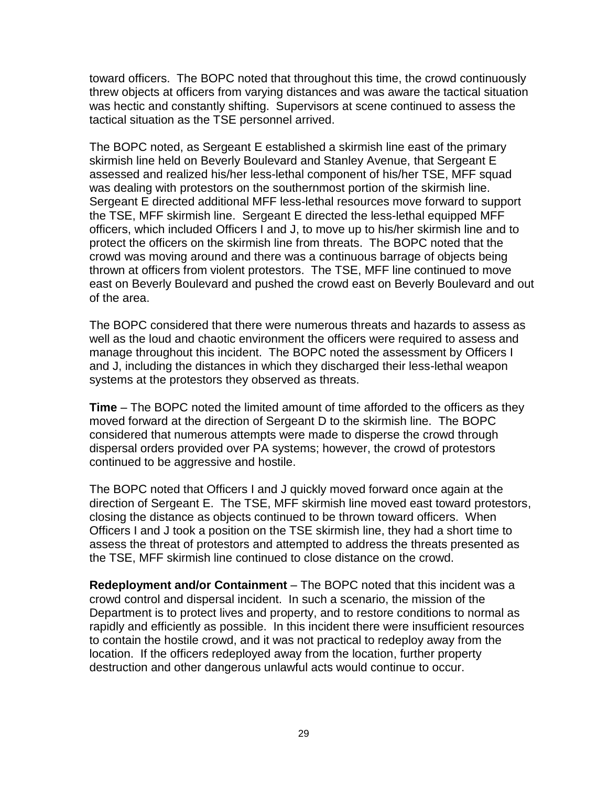toward officers. The BOPC noted that throughout this time, the crowd continuously threw objects at officers from varying distances and was aware the tactical situation was hectic and constantly shifting. Supervisors at scene continued to assess the tactical situation as the TSE personnel arrived.

The BOPC noted, as Sergeant E established a skirmish line east of the primary skirmish line held on Beverly Boulevard and Stanley Avenue, that Sergeant E assessed and realized his/her less-lethal component of his/her TSE, MFF squad was dealing with protestors on the southernmost portion of the skirmish line. Sergeant E directed additional MFF less-lethal resources move forward to support the TSE, MFF skirmish line. Sergeant E directed the less-lethal equipped MFF officers, which included Officers I and J, to move up to his/her skirmish line and to protect the officers on the skirmish line from threats. The BOPC noted that the crowd was moving around and there was a continuous barrage of objects being thrown at officers from violent protestors. The TSE, MFF line continued to move east on Beverly Boulevard and pushed the crowd east on Beverly Boulevard and out of the area.

The BOPC considered that there were numerous threats and hazards to assess as well as the loud and chaotic environment the officers were required to assess and manage throughout this incident. The BOPC noted the assessment by Officers I and J, including the distances in which they discharged their less-lethal weapon systems at the protestors they observed as threats.

**Time** – The BOPC noted the limited amount of time afforded to the officers as they moved forward at the direction of Sergeant D to the skirmish line. The BOPC considered that numerous attempts were made to disperse the crowd through dispersal orders provided over PA systems; however, the crowd of protestors continued to be aggressive and hostile.

The BOPC noted that Officers I and J quickly moved forward once again at the direction of Sergeant E. The TSE, MFF skirmish line moved east toward protestors, closing the distance as objects continued to be thrown toward officers. When Officers I and J took a position on the TSE skirmish line, they had a short time to assess the threat of protestors and attempted to address the threats presented as the TSE, MFF skirmish line continued to close distance on the crowd.

**Redeployment and/or Containment** – The BOPC noted that this incident was a crowd control and dispersal incident. In such a scenario, the mission of the Department is to protect lives and property, and to restore conditions to normal as rapidly and efficiently as possible. In this incident there were insufficient resources to contain the hostile crowd, and it was not practical to redeploy away from the location. If the officers redeployed away from the location, further property destruction and other dangerous unlawful acts would continue to occur.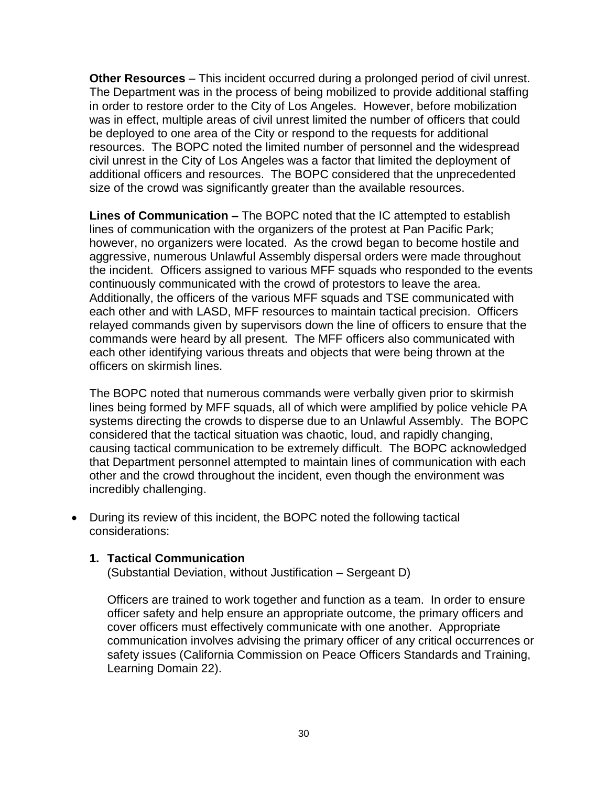**Other Resources** – This incident occurred during a prolonged period of civil unrest. The Department was in the process of being mobilized to provide additional staffing in order to restore order to the City of Los Angeles. However, before mobilization was in effect, multiple areas of civil unrest limited the number of officers that could be deployed to one area of the City or respond to the requests for additional resources. The BOPC noted the limited number of personnel and the widespread civil unrest in the City of Los Angeles was a factor that limited the deployment of additional officers and resources. The BOPC considered that the unprecedented size of the crowd was significantly greater than the available resources.

**Lines of Communication –** The BOPC noted that the IC attempted to establish lines of communication with the organizers of the protest at Pan Pacific Park; however, no organizers were located. As the crowd began to become hostile and aggressive, numerous Unlawful Assembly dispersal orders were made throughout the incident. Officers assigned to various MFF squads who responded to the events continuously communicated with the crowd of protestors to leave the area. Additionally, the officers of the various MFF squads and TSE communicated with each other and with LASD, MFF resources to maintain tactical precision. Officers relayed commands given by supervisors down the line of officers to ensure that the commands were heard by all present. The MFF officers also communicated with each other identifying various threats and objects that were being thrown at the officers on skirmish lines.

The BOPC noted that numerous commands were verbally given prior to skirmish lines being formed by MFF squads, all of which were amplified by police vehicle PA systems directing the crowds to disperse due to an Unlawful Assembly. The BOPC considered that the tactical situation was chaotic, loud, and rapidly changing, causing tactical communication to be extremely difficult. The BOPC acknowledged that Department personnel attempted to maintain lines of communication with each other and the crowd throughout the incident, even though the environment was incredibly challenging.

• During its review of this incident, the BOPC noted the following tactical considerations:

# **1. Tactical Communication**

(Substantial Deviation, without Justification – Sergeant D)

Officers are trained to work together and function as a team. In order to ensure officer safety and help ensure an appropriate outcome, the primary officers and cover officers must effectively communicate with one another. Appropriate communication involves advising the primary officer of any critical occurrences or safety issues (California Commission on Peace Officers Standards and Training, Learning Domain 22).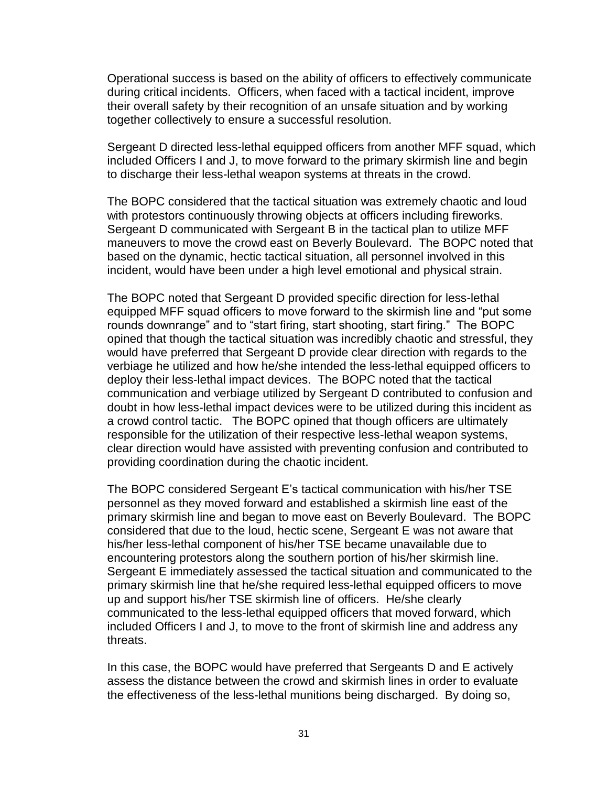Operational success is based on the ability of officers to effectively communicate during critical incidents. Officers, when faced with a tactical incident, improve their overall safety by their recognition of an unsafe situation and by working together collectively to ensure a successful resolution.

Sergeant D directed less-lethal equipped officers from another MFF squad, which included Officers I and J, to move forward to the primary skirmish line and begin to discharge their less-lethal weapon systems at threats in the crowd.

The BOPC considered that the tactical situation was extremely chaotic and loud with protestors continuously throwing objects at officers including fireworks. Sergeant D communicated with Sergeant B in the tactical plan to utilize MFF maneuvers to move the crowd east on Beverly Boulevard. The BOPC noted that based on the dynamic, hectic tactical situation, all personnel involved in this incident, would have been under a high level emotional and physical strain.

The BOPC noted that Sergeant D provided specific direction for less-lethal equipped MFF squad officers to move forward to the skirmish line and "put some rounds downrange" and to "start firing, start shooting, start firing." The BOPC opined that though the tactical situation was incredibly chaotic and stressful, they would have preferred that Sergeant D provide clear direction with regards to the verbiage he utilized and how he/she intended the less-lethal equipped officers to deploy their less-lethal impact devices. The BOPC noted that the tactical communication and verbiage utilized by Sergeant D contributed to confusion and doubt in how less-lethal impact devices were to be utilized during this incident as a crowd control tactic. The BOPC opined that though officers are ultimately responsible for the utilization of their respective less-lethal weapon systems, clear direction would have assisted with preventing confusion and contributed to providing coordination during the chaotic incident.

The BOPC considered Sergeant E's tactical communication with his/her TSE personnel as they moved forward and established a skirmish line east of the primary skirmish line and began to move east on Beverly Boulevard. The BOPC considered that due to the loud, hectic scene, Sergeant E was not aware that his/her less-lethal component of his/her TSE became unavailable due to encountering protestors along the southern portion of his/her skirmish line. Sergeant E immediately assessed the tactical situation and communicated to the primary skirmish line that he/she required less-lethal equipped officers to move up and support his/her TSE skirmish line of officers. He/she clearly communicated to the less-lethal equipped officers that moved forward, which included Officers I and J, to move to the front of skirmish line and address any threats.

In this case, the BOPC would have preferred that Sergeants D and E actively assess the distance between the crowd and skirmish lines in order to evaluate the effectiveness of the less-lethal munitions being discharged. By doing so,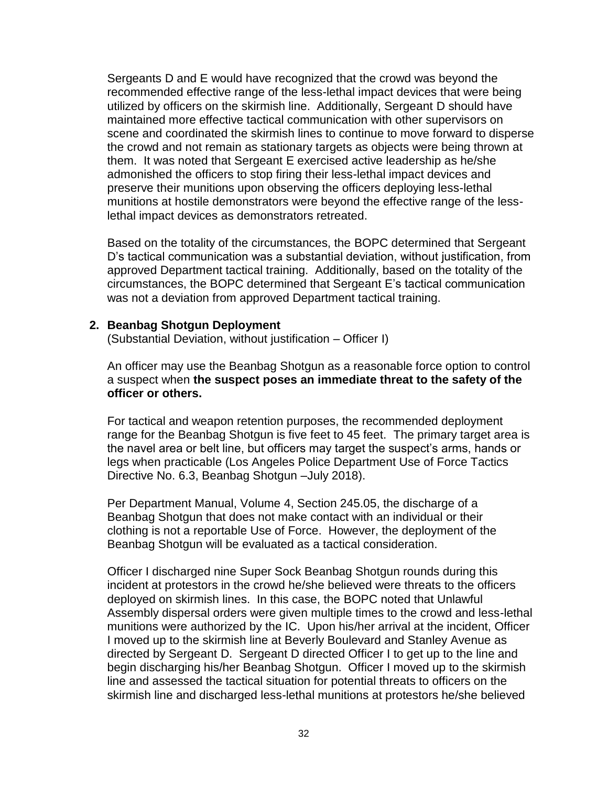Sergeants D and E would have recognized that the crowd was beyond the recommended effective range of the less-lethal impact devices that were being utilized by officers on the skirmish line. Additionally, Sergeant D should have maintained more effective tactical communication with other supervisors on scene and coordinated the skirmish lines to continue to move forward to disperse the crowd and not remain as stationary targets as objects were being thrown at them. It was noted that Sergeant E exercised active leadership as he/she admonished the officers to stop firing their less-lethal impact devices and preserve their munitions upon observing the officers deploying less-lethal munitions at hostile demonstrators were beyond the effective range of the lesslethal impact devices as demonstrators retreated.

Based on the totality of the circumstances, the BOPC determined that Sergeant D's tactical communication was a substantial deviation, without justification, from approved Department tactical training. Additionally, based on the totality of the circumstances, the BOPC determined that Sergeant E's tactical communication was not a deviation from approved Department tactical training.

#### **2. Beanbag Shotgun Deployment**

(Substantial Deviation, without justification – Officer I)

An officer may use the Beanbag Shotgun as a reasonable force option to control a suspect when **the suspect poses an immediate threat to the safety of the officer or others.**

For tactical and weapon retention purposes, the recommended deployment range for the Beanbag Shotgun is five feet to 45 feet. The primary target area is the navel area or belt line, but officers may target the suspect's arms, hands or legs when practicable (Los Angeles Police Department Use of Force Tactics Directive No. 6.3, Beanbag Shotgun –July 2018).

Per Department Manual, Volume 4, Section 245.05, the discharge of a Beanbag Shotgun that does not make contact with an individual or their clothing is not a reportable Use of Force. However, the deployment of the Beanbag Shotgun will be evaluated as a tactical consideration.

Officer I discharged nine Super Sock Beanbag Shotgun rounds during this incident at protestors in the crowd he/she believed were threats to the officers deployed on skirmish lines. In this case, the BOPC noted that Unlawful Assembly dispersal orders were given multiple times to the crowd and less-lethal munitions were authorized by the IC. Upon his/her arrival at the incident, Officer I moved up to the skirmish line at Beverly Boulevard and Stanley Avenue as directed by Sergeant D. Sergeant D directed Officer I to get up to the line and begin discharging his/her Beanbag Shotgun. Officer I moved up to the skirmish line and assessed the tactical situation for potential threats to officers on the skirmish line and discharged less-lethal munitions at protestors he/she believed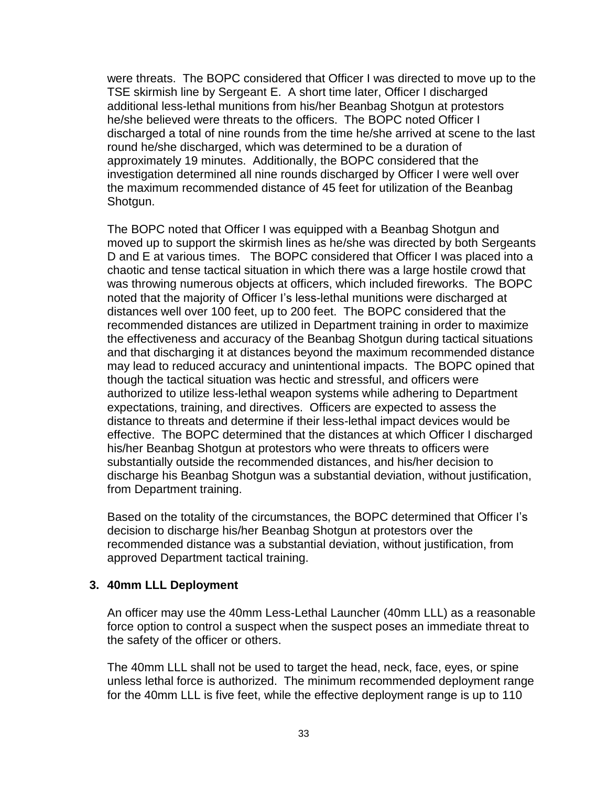were threats. The BOPC considered that Officer I was directed to move up to the TSE skirmish line by Sergeant E. A short time later, Officer I discharged additional less-lethal munitions from his/her Beanbag Shotgun at protestors he/she believed were threats to the officers. The BOPC noted Officer I discharged a total of nine rounds from the time he/she arrived at scene to the last round he/she discharged, which was determined to be a duration of approximately 19 minutes. Additionally, the BOPC considered that the investigation determined all nine rounds discharged by Officer I were well over the maximum recommended distance of 45 feet for utilization of the Beanbag Shotgun.

The BOPC noted that Officer I was equipped with a Beanbag Shotgun and moved up to support the skirmish lines as he/she was directed by both Sergeants D and E at various times. The BOPC considered that Officer I was placed into a chaotic and tense tactical situation in which there was a large hostile crowd that was throwing numerous objects at officers, which included fireworks. The BOPC noted that the majority of Officer I's less-lethal munitions were discharged at distances well over 100 feet, up to 200 feet. The BOPC considered that the recommended distances are utilized in Department training in order to maximize the effectiveness and accuracy of the Beanbag Shotgun during tactical situations and that discharging it at distances beyond the maximum recommended distance may lead to reduced accuracy and unintentional impacts. The BOPC opined that though the tactical situation was hectic and stressful, and officers were authorized to utilize less-lethal weapon systems while adhering to Department expectations, training, and directives. Officers are expected to assess the distance to threats and determine if their less-lethal impact devices would be effective. The BOPC determined that the distances at which Officer I discharged his/her Beanbag Shotgun at protestors who were threats to officers were substantially outside the recommended distances, and his/her decision to discharge his Beanbag Shotgun was a substantial deviation, without justification, from Department training.

Based on the totality of the circumstances, the BOPC determined that Officer I's decision to discharge his/her Beanbag Shotgun at protestors over the recommended distance was a substantial deviation, without justification, from approved Department tactical training.

## **3. 40mm LLL Deployment**

An officer may use the 40mm Less-Lethal Launcher (40mm LLL) as a reasonable force option to control a suspect when the suspect poses an immediate threat to the safety of the officer or others.

The 40mm LLL shall not be used to target the head, neck, face, eyes, or spine unless lethal force is authorized. The minimum recommended deployment range for the 40mm LLL is five feet, while the effective deployment range is up to 110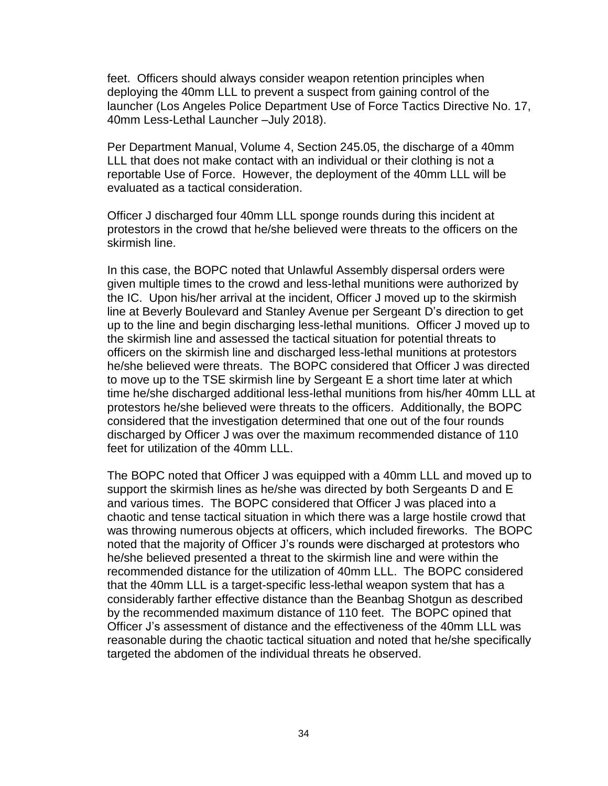feet. Officers should always consider weapon retention principles when deploying the 40mm LLL to prevent a suspect from gaining control of the launcher (Los Angeles Police Department Use of Force Tactics Directive No. 17, 40mm Less-Lethal Launcher –July 2018).

Per Department Manual, Volume 4, Section 245.05, the discharge of a 40mm LLL that does not make contact with an individual or their clothing is not a reportable Use of Force. However, the deployment of the 40mm LLL will be evaluated as a tactical consideration.

Officer J discharged four 40mm LLL sponge rounds during this incident at protestors in the crowd that he/she believed were threats to the officers on the skirmish line.

In this case, the BOPC noted that Unlawful Assembly dispersal orders were given multiple times to the crowd and less-lethal munitions were authorized by the IC. Upon his/her arrival at the incident, Officer J moved up to the skirmish line at Beverly Boulevard and Stanley Avenue per Sergeant D's direction to get up to the line and begin discharging less-lethal munitions. Officer J moved up to the skirmish line and assessed the tactical situation for potential threats to officers on the skirmish line and discharged less-lethal munitions at protestors he/she believed were threats. The BOPC considered that Officer J was directed to move up to the TSE skirmish line by Sergeant E a short time later at which time he/she discharged additional less-lethal munitions from his/her 40mm LLL at protestors he/she believed were threats to the officers. Additionally, the BOPC considered that the investigation determined that one out of the four rounds discharged by Officer J was over the maximum recommended distance of 110 feet for utilization of the 40mm LLL.

The BOPC noted that Officer J was equipped with a 40mm LLL and moved up to support the skirmish lines as he/she was directed by both Sergeants D and E and various times. The BOPC considered that Officer J was placed into a chaotic and tense tactical situation in which there was a large hostile crowd that was throwing numerous objects at officers, which included fireworks. The BOPC noted that the majority of Officer J's rounds were discharged at protestors who he/she believed presented a threat to the skirmish line and were within the recommended distance for the utilization of 40mm LLL. The BOPC considered that the 40mm LLL is a target-specific less-lethal weapon system that has a considerably farther effective distance than the Beanbag Shotgun as described by the recommended maximum distance of 110 feet. The BOPC opined that Officer J's assessment of distance and the effectiveness of the 40mm LLL was reasonable during the chaotic tactical situation and noted that he/she specifically targeted the abdomen of the individual threats he observed.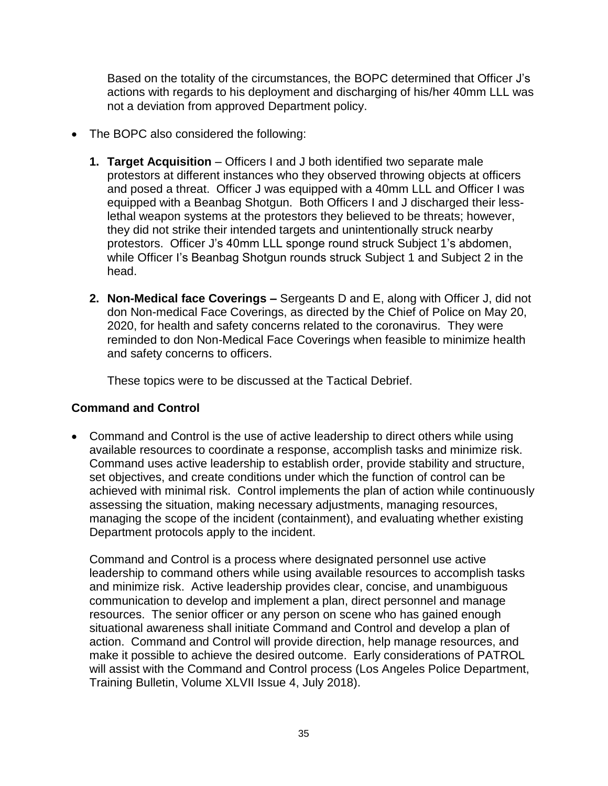Based on the totality of the circumstances, the BOPC determined that Officer J's actions with regards to his deployment and discharging of his/her 40mm LLL was not a deviation from approved Department policy.

- The BOPC also considered the following:
	- **1. Target Acquisition** Officers I and J both identified two separate male protestors at different instances who they observed throwing objects at officers and posed a threat. Officer J was equipped with a 40mm LLL and Officer I was equipped with a Beanbag Shotgun. Both Officers I and J discharged their lesslethal weapon systems at the protestors they believed to be threats; however, they did not strike their intended targets and unintentionally struck nearby protestors. Officer J's 40mm LLL sponge round struck Subject 1's abdomen, while Officer I's Beanbag Shotgun rounds struck Subject 1 and Subject 2 in the head.
	- **2. Non-Medical face Coverings –** Sergeants D and E, along with Officer J, did not don Non-medical Face Coverings, as directed by the Chief of Police on May 20, 2020, for health and safety concerns related to the coronavirus. They were reminded to don Non-Medical Face Coverings when feasible to minimize health and safety concerns to officers.

These topics were to be discussed at the Tactical Debrief.

## **Command and Control**

• Command and Control is the use of active leadership to direct others while using available resources to coordinate a response, accomplish tasks and minimize risk. Command uses active leadership to establish order, provide stability and structure, set objectives, and create conditions under which the function of control can be achieved with minimal risk. Control implements the plan of action while continuously assessing the situation, making necessary adjustments, managing resources, managing the scope of the incident (containment), and evaluating whether existing Department protocols apply to the incident.

Command and Control is a process where designated personnel use active leadership to command others while using available resources to accomplish tasks and minimize risk. Active leadership provides clear, concise, and unambiguous communication to develop and implement a plan, direct personnel and manage resources. The senior officer or any person on scene who has gained enough situational awareness shall initiate Command and Control and develop a plan of action. Command and Control will provide direction, help manage resources, and make it possible to achieve the desired outcome. Early considerations of PATROL will assist with the Command and Control process (Los Angeles Police Department, Training Bulletin, Volume XLVII Issue 4, July 2018).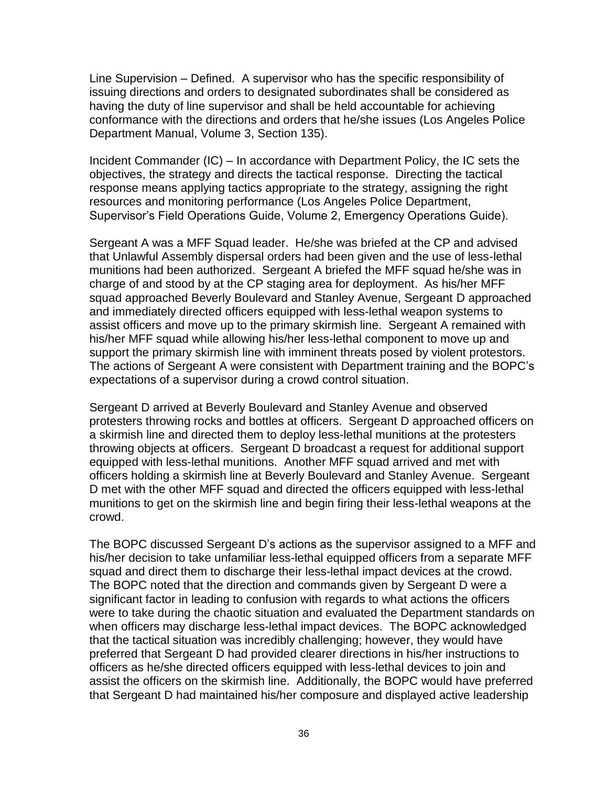Line Supervision – Defined. A supervisor who has the specific responsibility of issuing directions and orders to designated subordinates shall be considered as having the duty of line supervisor and shall be held accountable for achieving conformance with the directions and orders that he/she issues (Los Angeles Police Department Manual, Volume 3, Section 135).

Incident Commander (IC) – In accordance with Department Policy, the IC sets the objectives, the strategy and directs the tactical response. Directing the tactical response means applying tactics appropriate to the strategy, assigning the right resources and monitoring performance (Los Angeles Police Department, Supervisor's Field Operations Guide, Volume 2, Emergency Operations Guide).

Sergeant A was a MFF Squad leader. He/she was briefed at the CP and advised that Unlawful Assembly dispersal orders had been given and the use of less-lethal munitions had been authorized. Sergeant A briefed the MFF squad he/she was in charge of and stood by at the CP staging area for deployment. As his/her MFF squad approached Beverly Boulevard and Stanley Avenue, Sergeant D approached and immediately directed officers equipped with less-lethal weapon systems to assist officers and move up to the primary skirmish line. Sergeant A remained with his/her MFF squad while allowing his/her less-lethal component to move up and support the primary skirmish line with imminent threats posed by violent protestors. The actions of Sergeant A were consistent with Department training and the BOPC's expectations of a supervisor during a crowd control situation.

Sergeant D arrived at Beverly Boulevard and Stanley Avenue and observed protesters throwing rocks and bottles at officers. Sergeant D approached officers on a skirmish line and directed them to deploy less-lethal munitions at the protesters throwing objects at officers. Sergeant D broadcast a request for additional support equipped with less-lethal munitions. Another MFF squad arrived and met with officers holding a skirmish line at Beverly Boulevard and Stanley Avenue. Sergeant D met with the other MFF squad and directed the officers equipped with less-lethal munitions to get on the skirmish line and begin firing their less-lethal weapons at the crowd.

The BOPC discussed Sergeant D's actions as the supervisor assigned to a MFF and his/her decision to take unfamiliar less-lethal equipped officers from a separate MFF squad and direct them to discharge their less-lethal impact devices at the crowd. The BOPC noted that the direction and commands given by Sergeant D were a significant factor in leading to confusion with regards to what actions the officers were to take during the chaotic situation and evaluated the Department standards on when officers may discharge less-lethal impact devices. The BOPC acknowledged that the tactical situation was incredibly challenging; however, they would have preferred that Sergeant D had provided clearer directions in his/her instructions to officers as he/she directed officers equipped with less-lethal devices to join and assist the officers on the skirmish line. Additionally, the BOPC would have preferred that Sergeant D had maintained his/her composure and displayed active leadership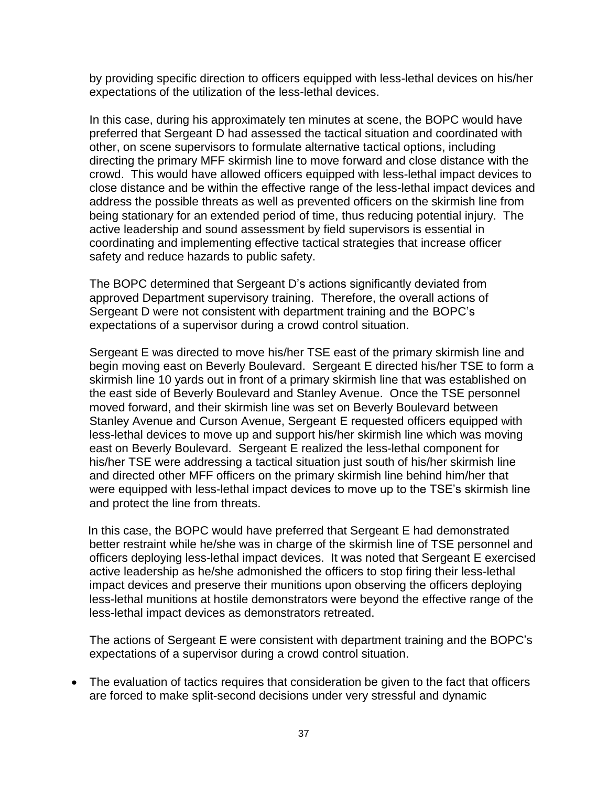by providing specific direction to officers equipped with less-lethal devices on his/her expectations of the utilization of the less-lethal devices.

In this case, during his approximately ten minutes at scene, the BOPC would have preferred that Sergeant D had assessed the tactical situation and coordinated with other, on scene supervisors to formulate alternative tactical options, including directing the primary MFF skirmish line to move forward and close distance with the crowd. This would have allowed officers equipped with less-lethal impact devices to close distance and be within the effective range of the less-lethal impact devices and address the possible threats as well as prevented officers on the skirmish line from being stationary for an extended period of time, thus reducing potential injury. The active leadership and sound assessment by field supervisors is essential in coordinating and implementing effective tactical strategies that increase officer safety and reduce hazards to public safety.

The BOPC determined that Sergeant D's actions significantly deviated from approved Department supervisory training. Therefore, the overall actions of Sergeant D were not consistent with department training and the BOPC's expectations of a supervisor during a crowd control situation.

Sergeant E was directed to move his/her TSE east of the primary skirmish line and begin moving east on Beverly Boulevard. Sergeant E directed his/her TSE to form a skirmish line 10 yards out in front of a primary skirmish line that was established on the east side of Beverly Boulevard and Stanley Avenue. Once the TSE personnel moved forward, and their skirmish line was set on Beverly Boulevard between Stanley Avenue and Curson Avenue, Sergeant E requested officers equipped with less-lethal devices to move up and support his/her skirmish line which was moving east on Beverly Boulevard. Sergeant E realized the less-lethal component for his/her TSE were addressing a tactical situation just south of his/her skirmish line and directed other MFF officers on the primary skirmish line behind him/her that were equipped with less-lethal impact devices to move up to the TSE's skirmish line and protect the line from threats.

 In this case, the BOPC would have preferred that Sergeant E had demonstrated better restraint while he/she was in charge of the skirmish line of TSE personnel and officers deploying less-lethal impact devices. It was noted that Sergeant E exercised active leadership as he/she admonished the officers to stop firing their less-lethal impact devices and preserve their munitions upon observing the officers deploying less-lethal munitions at hostile demonstrators were beyond the effective range of the less-lethal impact devices as demonstrators retreated.

The actions of Sergeant E were consistent with department training and the BOPC's expectations of a supervisor during a crowd control situation.

• The evaluation of tactics requires that consideration be given to the fact that officers are forced to make split-second decisions under very stressful and dynamic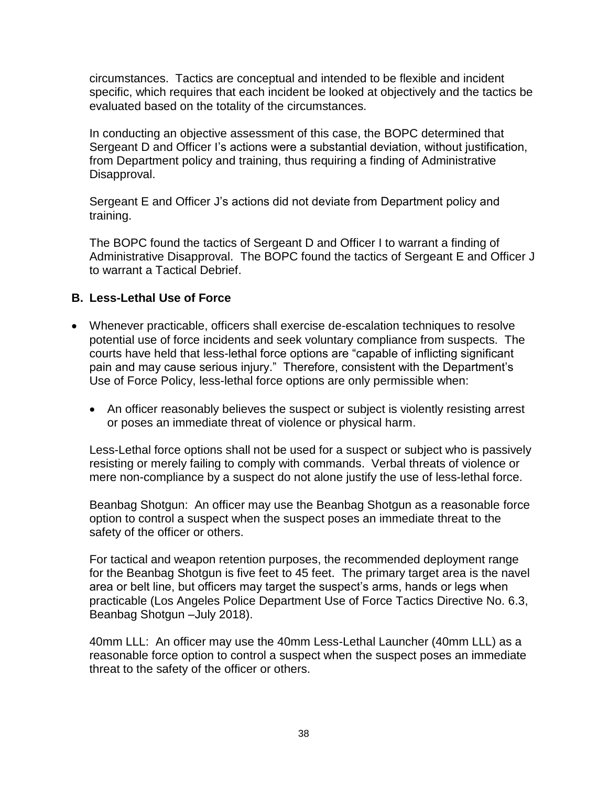circumstances. Tactics are conceptual and intended to be flexible and incident specific, which requires that each incident be looked at objectively and the tactics be evaluated based on the totality of the circumstances.

In conducting an objective assessment of this case, the BOPC determined that Sergeant D and Officer I's actions were a substantial deviation, without justification, from Department policy and training, thus requiring a finding of Administrative Disapproval.

Sergeant E and Officer J's actions did not deviate from Department policy and training.

The BOPC found the tactics of Sergeant D and Officer I to warrant a finding of Administrative Disapproval. The BOPC found the tactics of Sergeant E and Officer J to warrant a Tactical Debrief.

# **B. Less-Lethal Use of Force**

- Whenever practicable, officers shall exercise de-escalation techniques to resolve potential use of force incidents and seek voluntary compliance from suspects. The courts have held that less-lethal force options are "capable of inflicting significant pain and may cause serious injury." Therefore, consistent with the Department's Use of Force Policy, less-lethal force options are only permissible when:
	- An officer reasonably believes the suspect or subject is violently resisting arrest or poses an immediate threat of violence or physical harm.

Less-Lethal force options shall not be used for a suspect or subject who is passively resisting or merely failing to comply with commands. Verbal threats of violence or mere non-compliance by a suspect do not alone justify the use of less-lethal force.

Beanbag Shotgun: An officer may use the Beanbag Shotgun as a reasonable force option to control a suspect when the suspect poses an immediate threat to the safety of the officer or others.

For tactical and weapon retention purposes, the recommended deployment range for the Beanbag Shotgun is five feet to 45 feet. The primary target area is the navel area or belt line, but officers may target the suspect's arms, hands or legs when practicable (Los Angeles Police Department Use of Force Tactics Directive No. 6.3, Beanbag Shotgun –July 2018).

40mm LLL: An officer may use the 40mm Less-Lethal Launcher (40mm LLL) as a reasonable force option to control a suspect when the suspect poses an immediate threat to the safety of the officer or others.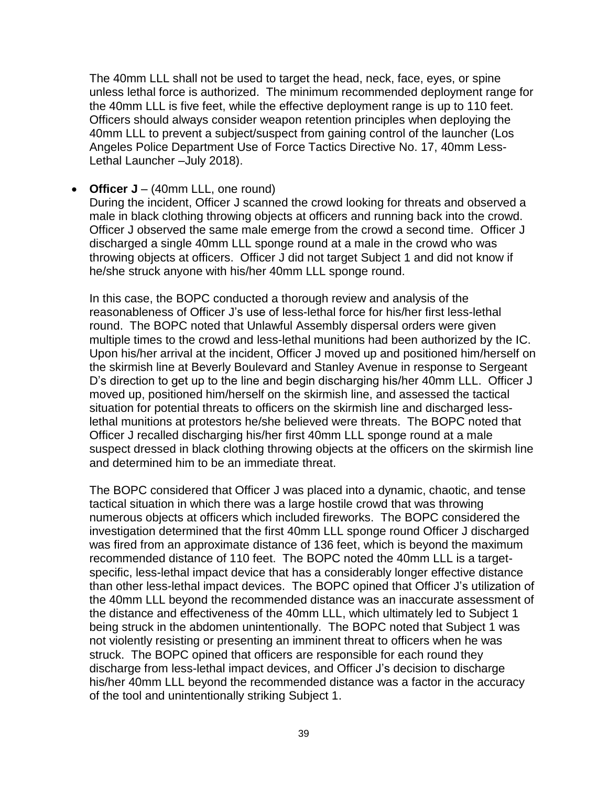The 40mm LLL shall not be used to target the head, neck, face, eyes, or spine unless lethal force is authorized. The minimum recommended deployment range for the 40mm LLL is five feet, while the effective deployment range is up to 110 feet. Officers should always consider weapon retention principles when deploying the 40mm LLL to prevent a subject/suspect from gaining control of the launcher (Los Angeles Police Department Use of Force Tactics Directive No. 17, 40mm Less-Lethal Launcher –July 2018).

• **Officer J** – (40mm LLL, one round)

During the incident, Officer J scanned the crowd looking for threats and observed a male in black clothing throwing objects at officers and running back into the crowd. Officer J observed the same male emerge from the crowd a second time. Officer J discharged a single 40mm LLL sponge round at a male in the crowd who was throwing objects at officers. Officer J did not target Subject 1 and did not know if he/she struck anyone with his/her 40mm LLL sponge round.

In this case, the BOPC conducted a thorough review and analysis of the reasonableness of Officer J's use of less-lethal force for his/her first less-lethal round. The BOPC noted that Unlawful Assembly dispersal orders were given multiple times to the crowd and less-lethal munitions had been authorized by the IC. Upon his/her arrival at the incident, Officer J moved up and positioned him/herself on the skirmish line at Beverly Boulevard and Stanley Avenue in response to Sergeant D's direction to get up to the line and begin discharging his/her 40mm LLL. Officer J moved up, positioned him/herself on the skirmish line, and assessed the tactical situation for potential threats to officers on the skirmish line and discharged lesslethal munitions at protestors he/she believed were threats. The BOPC noted that Officer J recalled discharging his/her first 40mm LLL sponge round at a male suspect dressed in black clothing throwing objects at the officers on the skirmish line and determined him to be an immediate threat.

The BOPC considered that Officer J was placed into a dynamic, chaotic, and tense tactical situation in which there was a large hostile crowd that was throwing numerous objects at officers which included fireworks. The BOPC considered the investigation determined that the first 40mm LLL sponge round Officer J discharged was fired from an approximate distance of 136 feet, which is beyond the maximum recommended distance of 110 feet. The BOPC noted the 40mm LLL is a targetspecific, less-lethal impact device that has a considerably longer effective distance than other less-lethal impact devices. The BOPC opined that Officer J's utilization of the 40mm LLL beyond the recommended distance was an inaccurate assessment of the distance and effectiveness of the 40mm LLL, which ultimately led to Subject 1 being struck in the abdomen unintentionally. The BOPC noted that Subject 1 was not violently resisting or presenting an imminent threat to officers when he was struck. The BOPC opined that officers are responsible for each round they discharge from less-lethal impact devices, and Officer J's decision to discharge his/her 40mm LLL beyond the recommended distance was a factor in the accuracy of the tool and unintentionally striking Subject 1.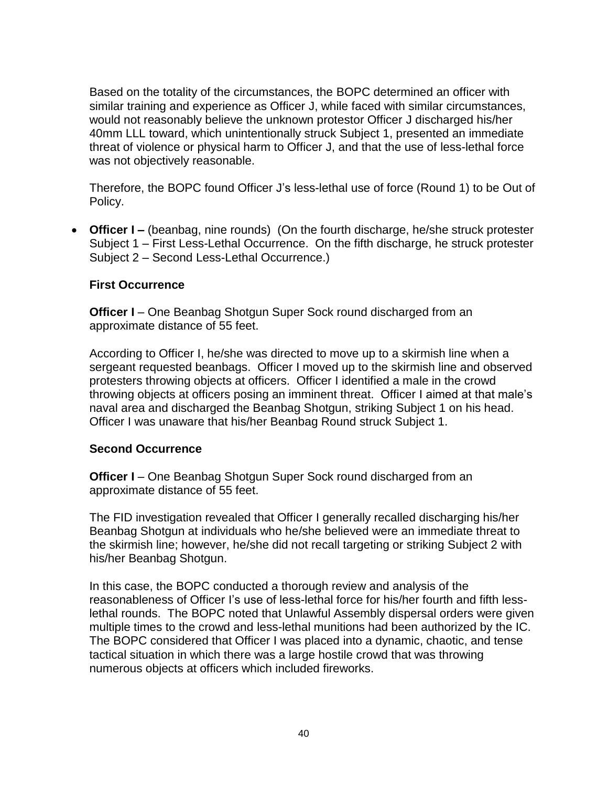Based on the totality of the circumstances, the BOPC determined an officer with similar training and experience as Officer J, while faced with similar circumstances, would not reasonably believe the unknown protestor Officer J discharged his/her 40mm LLL toward, which unintentionally struck Subject 1, presented an immediate threat of violence or physical harm to Officer J, and that the use of less-lethal force was not objectively reasonable.

Therefore, the BOPC found Officer J's less-lethal use of force (Round 1) to be Out of Policy.

• **Officer I –** (beanbag, nine rounds) (On the fourth discharge, he/she struck protester Subject 1 – First Less-Lethal Occurrence. On the fifth discharge, he struck protester Subject 2 – Second Less-Lethal Occurrence.)

## **First Occurrence**

**Officer I** – One Beanbag Shotgun Super Sock round discharged from an approximate distance of 55 feet.

According to Officer I, he/she was directed to move up to a skirmish line when a sergeant requested beanbags. Officer I moved up to the skirmish line and observed protesters throwing objects at officers. Officer I identified a male in the crowd throwing objects at officers posing an imminent threat. Officer I aimed at that male's naval area and discharged the Beanbag Shotgun, striking Subject 1 on his head. Officer I was unaware that his/her Beanbag Round struck Subject 1.

## **Second Occurrence**

**Officer I** – One Beanbag Shotgun Super Sock round discharged from an approximate distance of 55 feet.

The FID investigation revealed that Officer I generally recalled discharging his/her Beanbag Shotgun at individuals who he/she believed were an immediate threat to the skirmish line; however, he/she did not recall targeting or striking Subject 2 with his/her Beanbag Shotgun.

In this case, the BOPC conducted a thorough review and analysis of the reasonableness of Officer I's use of less-lethal force for his/her fourth and fifth lesslethal rounds. The BOPC noted that Unlawful Assembly dispersal orders were given multiple times to the crowd and less-lethal munitions had been authorized by the IC. The BOPC considered that Officer I was placed into a dynamic, chaotic, and tense tactical situation in which there was a large hostile crowd that was throwing numerous objects at officers which included fireworks.